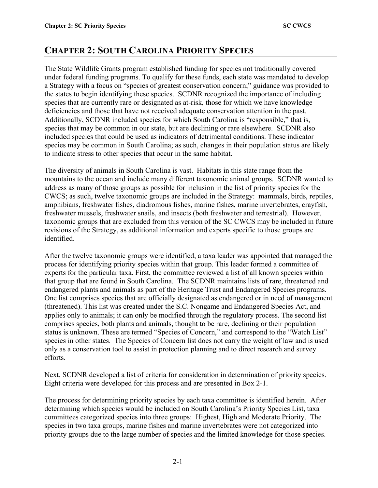# **CHAPTER 2: SOUTH CAROLINA PRIORITY SPECIES**

The State Wildlife Grants program established funding for species not traditionally covered under federal funding programs. To qualify for these funds, each state was mandated to develop a Strategy with a focus on "species of greatest conservation concern;" guidance was provided to the states to begin identifying these species. SCDNR recognized the importance of including species that are currently rare or designated as at-risk, those for which we have knowledge deficiencies and those that have not received adequate conservation attention in the past. Additionally, SCDNR included species for which South Carolina is "responsible," that is, species that may be common in our state, but are declining or rare elsewhere. SCDNR also included species that could be used as indicators of detrimental conditions. These indicator species may be common in South Carolina; as such, changes in their population status are likely to indicate stress to other species that occur in the same habitat.

The diversity of animals in South Carolina is vast. Habitats in this state range from the mountains to the ocean and include many different taxonomic animal groups. SCDNR wanted to address as many of those groups as possible for inclusion in the list of priority species for the CWCS; as such, twelve taxonomic groups are included in the Strategy: mammals, birds, reptiles, amphibians, freshwater fishes, diadromous fishes, marine fishes, marine invertebrates, crayfish, freshwater mussels, freshwater snails, and insects (both freshwater and terrestrial). However, taxonomic groups that are excluded from this version of the SC CWCS may be included in future revisions of the Strategy, as additional information and experts specific to those groups are identified.

After the twelve taxonomic groups were identified, a taxa leader was appointed that managed the process for identifying priority species within that group. This leader formed a committee of experts for the particular taxa. First, the committee reviewed a list of all known species within that group that are found in South Carolina. The SCDNR maintains lists of rare, threatened and endangered plants and animals as part of the Heritage Trust and Endangered Species programs. One list comprises species that are officially designated as endangered or in need of management (threatened). This list was created under the S.C. Nongame and Endangered Species Act, and applies only to animals; it can only be modified through the regulatory process. The second list comprises species, both plants and animals, thought to be rare, declining or their population status is unknown. These are termed "Species of Concern," and correspond to the "Watch List" species in other states. The Species of Concern list does not carry the weight of law and is used only as a conservation tool to assist in protection planning and to direct research and survey efforts.

Next, SCDNR developed a list of criteria for consideration in determination of priority species. Eight criteria were developed for this process and are presented in Box 2-1.

The process for determining priority species by each taxa committee is identified herein. After determining which species would be included on South Carolina's Priority Species List, taxa committees categorized species into three groups: Highest, High and Moderate Priority. The species in two taxa groups, marine fishes and marine invertebrates were not categorized into priority groups due to the large number of species and the limited knowledge for those species.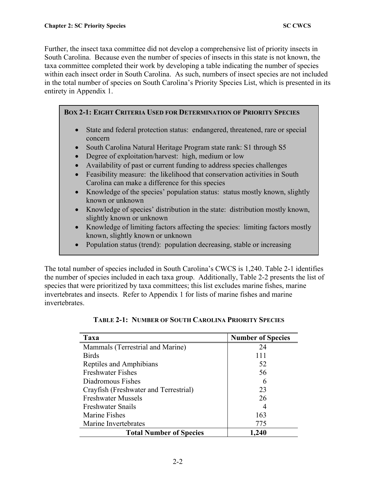Further, the insect taxa committee did not develop a comprehensive list of priority insects in South Carolina. Because even the number of species of insects in this state is not known, the taxa committee completed their work by developing a table indicating the number of species within each insect order in South Carolina. As such, numbers of insect species are not included in the total number of species on South Carolina's Priority Species List, which is presented in its entirety in Appendix 1.

**BOX 2-1: EIGHT CRITERIA USED FOR DETERMINATION OF PRIORITY SPECIES**

- State and federal protection status: endangered, threatened, rare or special concern
- South Carolina Natural Heritage Program state rank: S1 through S5
- Degree of exploitation/harvest: high, medium or low
- Availability of past or current funding to address species challenges
- Feasibility measure: the likelihood that conservation activities in South Carolina can make a difference for this species
- Knowledge of the species' population status: status mostly known, slightly known or unknown
- Knowledge of species' distribution in the state: distribution mostly known, slightly known or unknown
- Knowledge of limiting factors affecting the species: limiting factors mostly known, slightly known or unknown
- Population status (trend): population decreasing, stable or increasing

The total number of species included in South Carolina's CWCS is 1,240. Table 2-1 identifies the number of species included in each taxa group. Additionally, Table 2-2 presents the list of species that were prioritized by taxa committees; this list excludes marine fishes, marine invertebrates and insects. Refer to Appendix 1 for lists of marine fishes and marine invertebrates.

| Taxa                                  | <b>Number of Species</b> |
|---------------------------------------|--------------------------|
| Mammals (Terrestrial and Marine)      | 24                       |
| <b>Birds</b>                          | 111                      |
| Reptiles and Amphibians               | 52                       |
| <b>Freshwater Fishes</b>              | 56                       |
| Diadromous Fishes                     |                          |
| Crayfish (Freshwater and Terrestrial) | 23                       |
| <b>Freshwater Mussels</b>             | 26                       |
| <b>Freshwater Snails</b>              |                          |
| <b>Marine Fishes</b>                  | 163                      |
| Marine Invertebrates                  | 775                      |
| <b>Total Number of Species</b>        | ,240                     |

### **TABLE 2-1: NUMBER OF SOUTH CAROLINA PRIORITY SPECIES**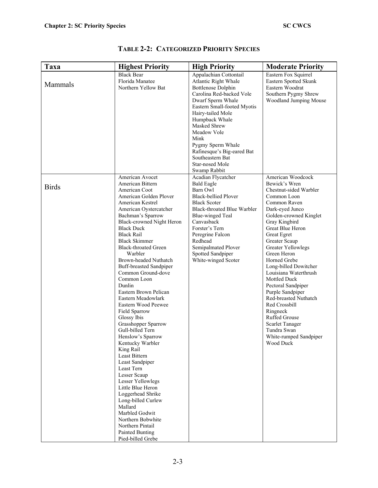| Taxa         | <b>Highest Priority</b>                                                                                                                                                                                                                                                                                                                                                                                                                                                                                                                                                                                                                                                                                                                                                                                                                                                          | <b>High Priority</b>                                                                                                                                                                                                                                                                                                                                | <b>Moderate Priority</b>                                                                                                                                                                                                                                                                                                                                                                                                                                                                                                                     |
|--------------|----------------------------------------------------------------------------------------------------------------------------------------------------------------------------------------------------------------------------------------------------------------------------------------------------------------------------------------------------------------------------------------------------------------------------------------------------------------------------------------------------------------------------------------------------------------------------------------------------------------------------------------------------------------------------------------------------------------------------------------------------------------------------------------------------------------------------------------------------------------------------------|-----------------------------------------------------------------------------------------------------------------------------------------------------------------------------------------------------------------------------------------------------------------------------------------------------------------------------------------------------|----------------------------------------------------------------------------------------------------------------------------------------------------------------------------------------------------------------------------------------------------------------------------------------------------------------------------------------------------------------------------------------------------------------------------------------------------------------------------------------------------------------------------------------------|
| Mammals      | <b>Black Bear</b><br>Florida Manatee<br>Northern Yellow Bat                                                                                                                                                                                                                                                                                                                                                                                                                                                                                                                                                                                                                                                                                                                                                                                                                      | Appalachian Cottontail<br>Atlantic Right Whale<br><b>Bottlenose Dolphin</b><br>Carolina Red-backed Vole<br>Dwarf Sperm Whale<br>Eastern Small-footed Myotis<br>Hairy-tailed Mole<br>Humpback Whale<br>Masked Shrew<br>Meadow Vole<br>Mink<br>Pygmy Sperm Whale<br>Rafinesque's Big-eared Bat<br>Southeastern Bat<br>Star-nosed Mole<br>Swamp Rabbit | Eastern Fox Squirrel<br>Eastern Spotted Skunk<br>Eastern Woodrat<br>Southern Pygmy Shrew<br>Woodland Jumping Mouse                                                                                                                                                                                                                                                                                                                                                                                                                           |
| <b>Birds</b> | American Avocet<br>American Bittern<br>American Coot<br>American Golden Plover<br>American Kestrel<br>American Oystercatcher<br>Bachman's Sparrow<br>Black-crowned Night Heron<br><b>Black Duck</b><br><b>Black Rail</b><br><b>Black Skimmer</b><br><b>Black-throated Green</b><br>Warbler<br>Brown-headed Nuthatch<br><b>Buff-breasted Sandpiper</b><br>Common Ground-dove<br>Common Loon<br>Dunlin<br>Eastern Brown Pelican<br>Eastern Meadowlark<br>Eastern Wood Peewee<br>Field Sparrow<br>Glossy Ibis<br>Grasshopper Sparrow<br>Gull-billed Tern<br>Henslow's Sparrow<br>Kentucky Warbler<br>King Rail<br>Least Bittern<br>Least Sandpiper<br>Least Tern<br>Lesser Scaup<br>Lesser Yellowlegs<br>Little Blue Heron<br>Loggerhead Shrike<br>Long-billed Curlew<br>Mallard<br>Marbled Godwit<br>Northern Bobwhite<br>Northern Pintail<br>Painted Bunting<br>Pied-billed Grebe | Acadian Flycatcher<br><b>Bald Eagle</b><br>Barn Owl<br><b>Black-bellied Plover</b><br><b>Black Scoter</b><br>Black-throated Blue Warbler<br><b>Blue-winged Teal</b><br>Canvasback<br>Forster's Tern<br>Peregrine Falcon<br>Redhead<br>Semipalmated Plover<br>Spotted Sandpiper<br>White-winged Scoter                                               | American Woodcock<br>Bewick's Wren<br>Chestnut-sided Warbler<br>Common Loon<br>Common Raven<br>Dark-eyed Junco<br>Golden-crowned Kinglet<br>Gray Kingbird<br>Great Blue Heron<br>Great Egret<br>Greater Scaup<br><b>Greater Yellowlegs</b><br>Green Heron<br>Horned Grebe<br>Long-billed Dowitcher<br>Louisiana Waterthrush<br><b>Mottled Duck</b><br>Pectoral Sandpiper<br>Purple Sandpiper<br>Red-breasted Nuthatch<br>Red Crossbill<br>Ringneck<br>Ruffed Grouse<br>Scarlet Tanager<br>Tundra Swan<br>White-rumped Sandpiper<br>Wood Duck |

### **TABLE 2-2: CATEGORIZED PRIORITY SPECIES**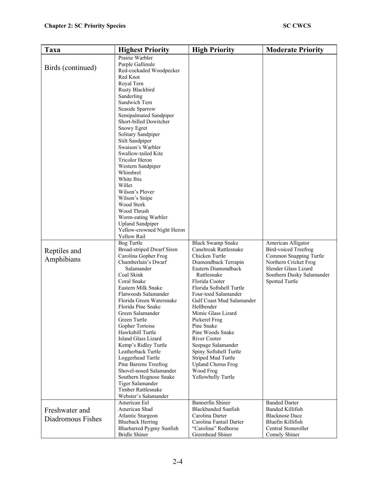| Taxa                                            | <b>Highest Priority</b>                                                                                                                                                                                                                                                                                                                                                                                                                                                                                                                                                                                                                                                                                                                                                                                                                                                                         | <b>High Priority</b>                                                                                                                                                                                                                                                                                                        | <b>Moderate Priority</b>                                                                                                                                                    |
|-------------------------------------------------|-------------------------------------------------------------------------------------------------------------------------------------------------------------------------------------------------------------------------------------------------------------------------------------------------------------------------------------------------------------------------------------------------------------------------------------------------------------------------------------------------------------------------------------------------------------------------------------------------------------------------------------------------------------------------------------------------------------------------------------------------------------------------------------------------------------------------------------------------------------------------------------------------|-----------------------------------------------------------------------------------------------------------------------------------------------------------------------------------------------------------------------------------------------------------------------------------------------------------------------------|-----------------------------------------------------------------------------------------------------------------------------------------------------------------------------|
| Birds (continued)<br>Reptiles and<br>Amphibians | Prairie Warbler<br>Purple Gallinule<br>Red-cockaded Woodpecker<br>Red Knot<br>Royal Tern<br>Rusty Blackbird<br>Sanderling<br>Sandwich Tern<br>Seaside Sparrow<br>Semipalmated Sandpiper<br>Short-billed Dowitcher<br>Snowy Egret<br>Solitary Sandpiper<br>Stilt Sandpiper<br>Swaison's Warbler<br>Swallow-tailed Kite<br><b>Tricolor Heron</b><br>Western Sandpiper<br>Whimbrel<br>White Ibis<br>Willet<br>Wilson's Plover<br>Wilson's Snipe<br>Wood Stork<br>Wood Thrush<br>Worm-eating Warbler<br><b>Upland Sandpiper</b><br>Yellow-crowned Night Heron<br>Yellow Rail<br><b>Bog Turtle</b><br>Broad-striped Dwarf Siren<br>Carolina Gopher Frog<br>Chamberlain's Dwarf<br>Salamander<br>Coal Skink<br>Coral Snake<br>Eastern Milk Snake<br>Flatwoods Salamander<br>Florida Green Watersnake<br>Florida Pine Snake<br>Green Salamander<br>Green Turtle<br>Gopher Tortoise<br>Hawksbill Turtle | <b>Black Swamp Snake</b><br>Canebreak Rattlesnake<br>Chicken Turtle<br>Diamondback Terrapin<br>Eastern Diamondback<br>Rattlesnake<br>Florida Cooter<br>Florida Softshell Turtle<br>Four-toed Salamander<br>Gulf Coast Mud Salamander<br>Hellbender<br>Mimic Glass Lizard<br>Pickerel Frog<br>Pine Snake<br>Pine Woods Snake | American Alligator<br><b>Bird-voiced Treefrog</b><br>Common Snapping Turtle<br>Northern Cricket Frog<br>Slender Glass Lizard<br>Southern Dusky Salamander<br>Spotted Turtle |
|                                                 | Island Glass Lizard<br>Kemp's Ridley Turtle<br>Leatherback Turtle<br>Loggerhead Turtle<br>Pine Barrens Treefrog<br>Shovel-nosed Salamander<br>Southern Hognose Snake<br>Tiger Salamander                                                                                                                                                                                                                                                                                                                                                                                                                                                                                                                                                                                                                                                                                                        | <b>River Cooter</b><br>Seepage Salamander<br>Spiny Softshell Turtle<br>Striped Mud Turtle<br><b>Upland Chorus Frog</b><br>Wood Frog<br>Yellowbelly Turtle                                                                                                                                                                   |                                                                                                                                                                             |
|                                                 | Timber Rattlesnake<br>Webster's Salamander                                                                                                                                                                                                                                                                                                                                                                                                                                                                                                                                                                                                                                                                                                                                                                                                                                                      |                                                                                                                                                                                                                                                                                                                             |                                                                                                                                                                             |
| Freshwater and<br>Diadromous Fishes             | American Eel<br>American Shad<br>Atlantic Sturgeon<br><b>Blueback Herring</b><br>Bluebarred Pygmy Sunfish<br><b>Bridle Shiner</b>                                                                                                                                                                                                                                                                                                                                                                                                                                                                                                                                                                                                                                                                                                                                                               | Bannerfin Shiner<br><b>Blackbanded Sunfish</b><br>Carolina Darter<br>Carolina Fantail Darter<br>"Carolina" Redhorse<br>Greenhead Shiner                                                                                                                                                                                     | <b>Banded Darter</b><br><b>Banded Killifish</b><br><b>Blacknose Dace</b><br>Bluefin Killifish<br>Central Stoneroller<br>Comely Shiner                                       |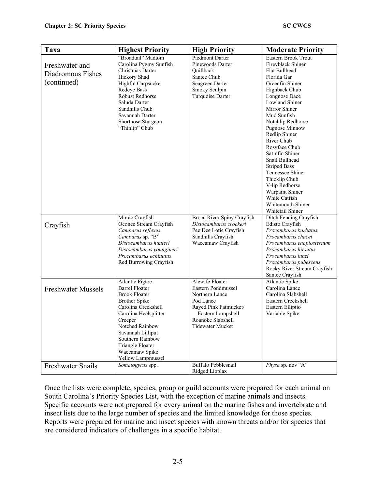| Taxa                                                  | <b>Highest Priority</b>                                                                                                                                                                                                                                                                        | <b>High Priority</b>                                                                                                                                                                             | <b>Moderate Priority</b>                                                                                                                                                                                                                                                                                                                                                                                                                                                                                |
|-------------------------------------------------------|------------------------------------------------------------------------------------------------------------------------------------------------------------------------------------------------------------------------------------------------------------------------------------------------|--------------------------------------------------------------------------------------------------------------------------------------------------------------------------------------------------|---------------------------------------------------------------------------------------------------------------------------------------------------------------------------------------------------------------------------------------------------------------------------------------------------------------------------------------------------------------------------------------------------------------------------------------------------------------------------------------------------------|
| Freshwater and<br>Diadromous Fishes<br>(continued)    | "Broadtail" Madtom<br>Carolina Pygmy Sunfish<br>Christmas Darter<br>Hickory Shad<br>Highfin Carpsucker<br>Redeye Bass<br><b>Robust Redhorse</b><br>Saluda Darter<br>Sandhills Chub<br>Savannah Darter<br>Shortnose Sturgeon<br>"Thinlip" Chub<br>Mimic Crayfish                                | <b>Piedmont Darter</b><br>Pinewoods Darter<br>Ouillback<br>Santee Chub<br>Seagreen Darter<br>Smoky Sculpin<br>Turquoise Darter<br>Broad River Spiny Crayfish                                     | Eastern Brook Trout<br>Fireyblack Shiner<br>Flat Bullhead<br>Florida Gar<br>Greenfin Shiner<br>Highback Chub<br>Longnose Dace<br>Lowland Shiner<br>Mirror Shiner<br>Mud Sunfish<br>Notchlip Redhorse<br><b>Pugnose Minnow</b><br>Redlip Shiner<br>River Chub<br>Rosyface Chub<br>Satinfin Shiner<br>Snail Bullhead<br><b>Striped Bass</b><br>Tennessee Shiner<br>Thicklip Chub<br>V-lip Redhorse<br>Warpaint Shiner<br>White Catfish<br>Whitemouth Shiner<br>Whitetail Shiner<br>Ditch Fencing Crayfish |
| Crayfish                                              | Oconee Stream Crayfish<br>Cambarus reflexus<br>Cambarus sp. "B"<br>Distocambarus hunteri<br>Distocambarus youngineri<br>Procambarus echinatus<br>Red Burrowing Crayfish                                                                                                                        | Distocambarus crockeri<br>Pee Dee Lotic Crayfish<br>Sandhills Crayfish<br>Waccamaw Crayfish                                                                                                      | Edisto Crayfish<br>Procambarus barbatus<br>Procambarus chacei<br>Procambarus enoplosternum<br>Procambarus hirsutus<br>Procambarus lunzi<br>Procambarus pubescens<br>Rocky River Stream Crayfish<br>Santee Crayfish                                                                                                                                                                                                                                                                                      |
| <b>Freshwater Mussels</b><br><b>Freshwater Snails</b> | Atlantic Pigtoe<br><b>Barrel Floater</b><br><b>Brook Floater</b><br><b>Brother Spike</b><br>Carolina Creekshell<br>Carolina Heelsplitter<br>Creeper<br>Notched Rainbow<br>Savannah Lilliput<br>Southern Rainbow<br>Triangle Floater<br>Waccamaw Spike<br>Yellow Lampmussel<br>Somatogyrus spp. | <b>Alewife Floater</b><br>Eastern Pondmussel<br>Northern Lance<br>Pod Lance<br>Rayed Pink Fatmucket/<br>Eastern Lampshell<br>Roanoke Slabshell<br><b>Tidewater Mucket</b><br>Buffalo Pebblesnail | <b>Atlantic Spike</b><br>Carolina Lance<br>Carolina Slabshell<br>Eastern Creekshell<br>Eastern Elliptio<br>Variable Spike<br>Physa sp. nov "A"                                                                                                                                                                                                                                                                                                                                                          |
|                                                       |                                                                                                                                                                                                                                                                                                | Ridged Lioplax                                                                                                                                                                                   |                                                                                                                                                                                                                                                                                                                                                                                                                                                                                                         |

Once the lists were complete, species, group or guild accounts were prepared for each animal on South Carolina's Priority Species List, with the exception of marine animals and insects. Specific accounts were not prepared for every animal on the marine fishes and invertebrate and insect lists due to the large number of species and the limited knowledge for those species. Reports were prepared for marine and insect species with known threats and/or for species that are considered indicators of challenges in a specific habitat.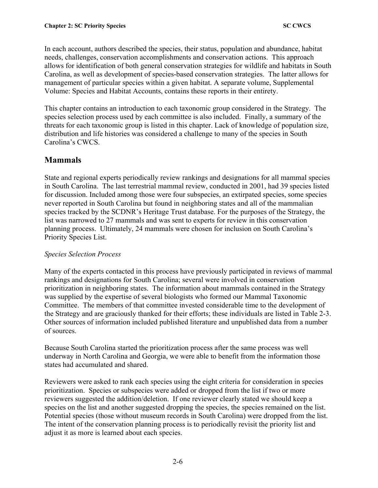In each account, authors described the species, their status, population and abundance, habitat needs, challenges, conservation accomplishments and conservation actions. This approach allows for identification of both general conservation strategies for wildlife and habitats in South Carolina, as well as development of species-based conservation strategies. The latter allows for management of particular species within a given habitat. A separate volume, Supplemental Volume: Species and Habitat Accounts, contains these reports in their entirety.

This chapter contains an introduction to each taxonomic group considered in the Strategy. The species selection process used by each committee is also included. Finally, a summary of the threats for each taxonomic group is listed in this chapter. Lack of knowledge of population size, distribution and life histories was considered a challenge to many of the species in South Carolina's CWCS.

# **Mammals**

State and regional experts periodically review rankings and designations for all mammal species in South Carolina. The last terrestrial mammal review, conducted in 2001, had 39 species listed for discussion. Included among those were four subspecies, an extirpated species, some species never reported in South Carolina but found in neighboring states and all of the mammalian species tracked by the SCDNR's Heritage Trust database. For the purposes of the Strategy, the list was narrowed to 27 mammals and was sent to experts for review in this conservation planning process. Ultimately, 24 mammals were chosen for inclusion on South Carolina's Priority Species List.

### *Species Selection Process*

Many of the experts contacted in this process have previously participated in reviews of mammal rankings and designations for South Carolina; several were involved in conservation prioritization in neighboring states. The information about mammals contained in the Strategy was supplied by the expertise of several biologists who formed our Mammal Taxonomic Committee. The members of that committee invested considerable time to the development of the Strategy and are graciously thanked for their efforts; these individuals are listed in Table 2-3. Other sources of information included published literature and unpublished data from a number of sources.

Because South Carolina started the prioritization process after the same process was well underway in North Carolina and Georgia, we were able to benefit from the information those states had accumulated and shared.

Reviewers were asked to rank each species using the eight criteria for consideration in species prioritization. Species or subspecies were added or dropped from the list if two or more reviewers suggested the addition/deletion. If one reviewer clearly stated we should keep a species on the list and another suggested dropping the species, the species remained on the list. Potential species (those without museum records in South Carolina) were dropped from the list. The intent of the conservation planning process is to periodically revisit the priority list and adjust it as more is learned about each species.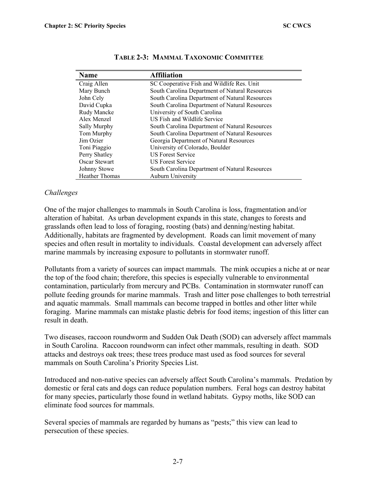| <b>Name</b>           | <b>Affiliation</b>                             |
|-----------------------|------------------------------------------------|
| Craig Allen           | SC Cooperative Fish and Wildlife Res. Unit     |
| Mary Bunch            | South Carolina Department of Natural Resources |
| John Cely             | South Carolina Department of Natural Resources |
| David Cupka           | South Carolina Department of Natural Resources |
| Rudy Mancke           | University of South Carolina                   |
| Alex Menzel           | US Fish and Wildlife Service                   |
| Sally Murphy          | South Carolina Department of Natural Resources |
| Tom Murphy            | South Carolina Department of Natural Resources |
| Jim Ozier             | Georgia Department of Natural Resources        |
| Toni Piaggio          | University of Colorado, Boulder                |
| Perry Shatley         | <b>US Forest Service</b>                       |
| Oscar Stewart         | US Forest Service                              |
| Johnny Stowe          | South Carolina Department of Natural Resources |
| <b>Heather Thomas</b> | Auburn University                              |

#### **TABLE 2-3: MAMMAL TAXONOMIC COMMITTEE**

#### *Challenges*

One of the major challenges to mammals in South Carolina is loss, fragmentation and/or alteration of habitat. As urban development expands in this state, changes to forests and grasslands often lead to loss of foraging, roosting (bats) and denning/nesting habitat. Additionally, habitats are fragmented by development. Roads can limit movement of many species and often result in mortality to individuals. Coastal development can adversely affect marine mammals by increasing exposure to pollutants in stormwater runoff.

Pollutants from a variety of sources can impact mammals. The mink occupies a niche at or near the top of the food chain; therefore, this species is especially vulnerable to environmental contamination, particularly from mercury and PCBs. Contamination in stormwater runoff can pollute feeding grounds for marine mammals. Trash and litter pose challenges to both terrestrial and aquatic mammals. Small mammals can become trapped in bottles and other litter while foraging. Marine mammals can mistake plastic debris for food items; ingestion of this litter can result in death

Two diseases, raccoon roundworm and Sudden Oak Death (SOD) can adversely affect mammals in South Carolina. Raccoon roundworm can infect other mammals, resulting in death. SOD attacks and destroys oak trees; these trees produce mast used as food sources for several mammals on South Carolina's Priority Species List.

Introduced and non-native species can adversely affect South Carolina's mammals. Predation by domestic or feral cats and dogs can reduce population numbers. Feral hogs can destroy habitat for many species, particularly those found in wetland habitats. Gypsy moths, like SOD can eliminate food sources for mammals.

Several species of mammals are regarded by humans as "pests;" this view can lead to persecution of these species.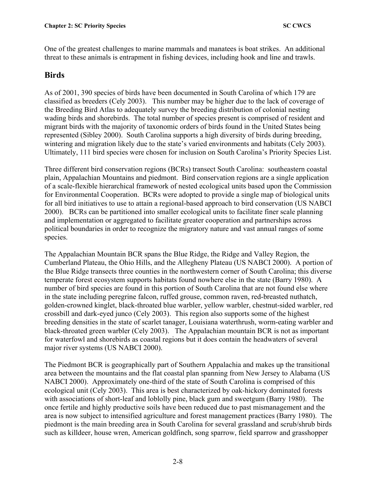One of the greatest challenges to marine mammals and manatees is boat strikes. An additional threat to these animals is entrapment in fishing devices, including hook and line and trawls.

### **Birds**

As of 2001, 390 species of birds have been documented in South Carolina of which 179 are classified as breeders (Cely 2003). This number may be higher due to the lack of coverage of the Breeding Bird Atlas to adequately survey the breeding distribution of colonial nesting wading birds and shorebirds. The total number of species present is comprised of resident and migrant birds with the majority of taxonomic orders of birds found in the United States being represented (Sibley 2000). South Carolina supports a high diversity of birds during breeding, wintering and migration likely due to the state's varied environments and habitats (Cely 2003). Ultimately, 111 bird species were chosen for inclusion on South Carolina's Priority Species List.

Three different bird conservation regions (BCRs) transect South Carolina: southeastern coastal plain, Appalachian Mountains and piedmont. Bird conservation regions are a single application of a scale-flexible hierarchical framework of nested ecological units based upon the Commission for Environmental Cooperation. BCRs were adopted to provide a single map of biological units for all bird initiatives to use to attain a regional-based approach to bird conservation (US NABCI 2000). BCRs can be partitioned into smaller ecological units to facilitate finer scale planning and implementation or aggregated to facilitate greater cooperation and partnerships across political boundaries in order to recognize the migratory nature and vast annual ranges of some species.

The Appalachian Mountain BCR spans the Blue Ridge, the Ridge and Valley Region, the Cumberland Plateau, the Ohio Hills, and the Allegheny Plateau (US NABCI 2000). A portion of the Blue Ridge transects three counties in the northwestern corner of South Carolina; this diverse temperate forest ecosystem supports habitats found nowhere else in the state (Barry 1980). A number of bird species are found in this portion of South Carolina that are not found else where in the state including peregrine falcon, ruffed grouse, common raven, red-breasted nuthatch, golden-crowned kinglet, black-throated blue warbler, yellow warbler, chestnut-sided warbler, red crossbill and dark-eyed junco (Cely 2003). This region also supports some of the highest breeding densities in the state of scarlet tanager, Louisiana waterthrush, worm-eating warbler and black-throated green warbler (Cely 2003). The Appalachian mountain BCR is not as important for waterfowl and shorebirds as coastal regions but it does contain the headwaters of several major river systems (US NABCI 2000).

The Piedmont BCR is geographically part of Southern Appalachia and makes up the transitional area between the mountains and the flat coastal plan spanning from New Jersey to Alabama (US NABCI 2000). Approximately one-third of the state of South Carolina is comprised of this ecological unit (Cely 2003). This area is best characterized by oak-hickory dominated forests with associations of short-leaf and loblolly pine, black gum and sweetgum (Barry 1980). The once fertile and highly productive soils have been reduced due to past mismanagement and the area is now subject to intensified agriculture and forest management practices (Barry 1980). The piedmont is the main breeding area in South Carolina for several grassland and scrub/shrub birds such as killdeer, house wren, American goldfinch, song sparrow, field sparrow and grasshopper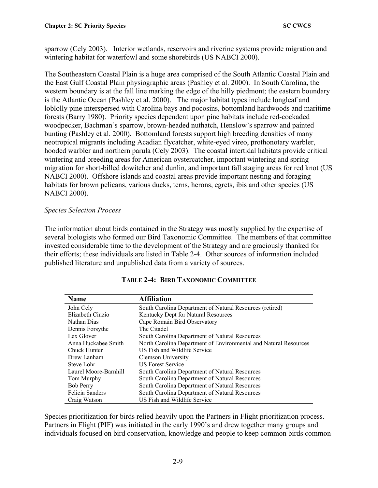sparrow (Cely 2003). Interior wetlands, reservoirs and riverine systems provide migration and wintering habitat for waterfowl and some shorebirds (US NABCI 2000).

The Southeastern Coastal Plain is a huge area comprised of the South Atlantic Coastal Plain and the East Gulf Coastal Plain physiographic areas (Pashley et al. 2000). In South Carolina, the western boundary is at the fall line marking the edge of the hilly piedmont; the eastern boundary is the Atlantic Ocean (Pashley et al. 2000). The major habitat types include longleaf and loblolly pine interspersed with Carolina bays and pocosins, bottomland hardwoods and maritime forests (Barry 1980). Priority species dependent upon pine habitats include red-cockaded woodpecker, Bachman's sparrow, brown-headed nuthatch, Henslow's sparrow and painted bunting (Pashley et al. 2000). Bottomland forests support high breeding densities of many neotropical migrants including Acadian flycatcher, white-eyed vireo, prothonotary warbler, hooded warbler and northern parula (Cely 2003). The coastal intertidal habitats provide critical wintering and breeding areas for American oystercatcher, important wintering and spring migration for short-billed dowitcher and dunlin, and important fall staging areas for red knot (US NABCI 2000). Offshore islands and coastal areas provide important nesting and foraging habitats for brown pelicans, various ducks, terns, herons, egrets, ibis and other species (US NABCI 2000).

### *Species Selection Process*

The information about birds contained in the Strategy was mostly supplied by the expertise of several biologists who formed our Bird Taxonomic Committee. The members of that committee invested considerable time to the development of the Strategy and are graciously thanked for their efforts; these individuals are listed in Table 2-4. Other sources of information included published literature and unpublished data from a variety of sources.

| Name                  | <b>Affiliation</b>                                               |
|-----------------------|------------------------------------------------------------------|
| John Cely             | South Carolina Department of Natural Resources (retired)         |
| Elizabeth Ciuzio      | Kentucky Dept for Natural Resources                              |
| Nathan Dias           | Cape Romain Bird Observatory                                     |
| Dennis Forsythe       | The Citadel                                                      |
| Lex Glover            | South Carolina Department of Natural Resources                   |
| Anna Huckabee Smith   | North Carolina Department of Environmental and Natural Resources |
| Chuck Hunter          | US Fish and Wildlife Service                                     |
| Drew Lanham           | Clemson University                                               |
| Steve Lohr            | <b>US Forest Service</b>                                         |
| Laurel Moore-Barnhill | South Carolina Department of Natural Resources                   |
| Tom Murphy            | South Carolina Department of Natural Resources                   |
| <b>Bob Perry</b>      | South Carolina Department of Natural Resources                   |
| Felicia Sanders       | South Carolina Department of Natural Resources                   |
| Craig Watson          | US Fish and Wildlife Service                                     |

### **TABLE 2-4: BIRD TAXONOMIC COMMITTEE**

Species prioritization for birds relied heavily upon the Partners in Flight prioritization process. Partners in Flight (PIF) was initiated in the early 1990's and drew together many groups and individuals focused on bird conservation, knowledge and people to keep common birds common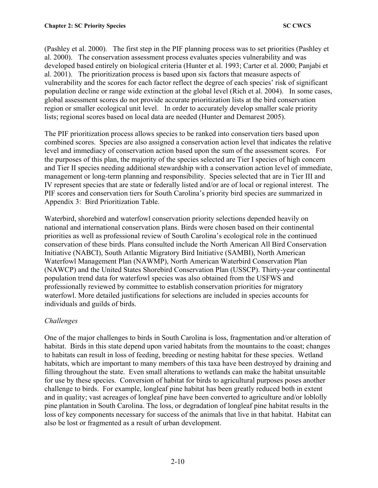(Pashley et al. 2000). The first step in the PIF planning process was to set priorities (Pashley et al. 2000). The conservation assessment process evaluates species vulnerability and was developed based entirely on biological criteria (Hunter et al. 1993; Carter et al. 2000; Panjabi et al. 2001). The prioritization process is based upon six factors that measure aspects of vulnerability and the scores for each factor reflect the degree of each species' risk of significant population decline or range wide extinction at the global level (Rich et al. 2004). In some cases, global assessment scores do not provide accurate prioritization lists at the bird conservation region or smaller ecological unit level. In order to accurately develop smaller scale priority lists; regional scores based on local data are needed (Hunter and Demarest 2005).

The PIF prioritization process allows species to be ranked into conservation tiers based upon combined scores. Species are also assigned a conservation action level that indicates the relative level and immediacy of conservation action based upon the sum of the assessment scores. For the purposes of this plan, the majority of the species selected are Tier I species of high concern and Tier II species needing additional stewardship with a conservation action level of immediate, management or long-term planning and responsibility. Species selected that are in Tier III and IV represent species that are state or federally listed and/or are of local or regional interest. The PIF scores and conservation tiers for South Carolina's priority bird species are summarized in Appendix 3: Bird Prioritization Table.

Waterbird, shorebird and waterfowl conservation priority selections depended heavily on national and international conservation plans. Birds were chosen based on their continental priorities as well as professional review of South Carolina's ecological role in the continued conservation of these birds. Plans consulted include the North American All Bird Conservation Initiative (NABCI), South Atlantic Migratory Bird Initiative (SAMBI), North American Waterfowl Management Plan (NAWMP), North American Waterbird Conservation Plan (NAWCP) and the United States Shorebird Conservation Plan (USSCP). Thirty-year continental population trend data for waterfowl species was also obtained from the USFWS and professionally reviewed by committee to establish conservation priorities for migratory waterfowl. More detailed justifications for selections are included in species accounts for individuals and guilds of birds.

### *Challenges*

One of the major challenges to birds in South Carolina is loss, fragmentation and/or alteration of habitat. Birds in this state depend upon varied habitats from the mountains to the coast; changes to habitats can result in loss of feeding, breeding or nesting habitat for these species. Wetland habitats, which are important to many members of this taxa have been destroyed by draining and filling throughout the state. Even small alterations to wetlands can make the habitat unsuitable for use by these species. Conversion of habitat for birds to agricultural purposes poses another challenge to birds. For example, longleaf pine habitat has been greatly reduced both in extent and in quality; vast acreages of longleaf pine have been converted to agriculture and/or loblolly pine plantation in South Carolina. The loss, or degradation of longleaf pine habitat results in the loss of key components necessary for success of the animals that live in that habitat. Habitat can also be lost or fragmented as a result of urban development.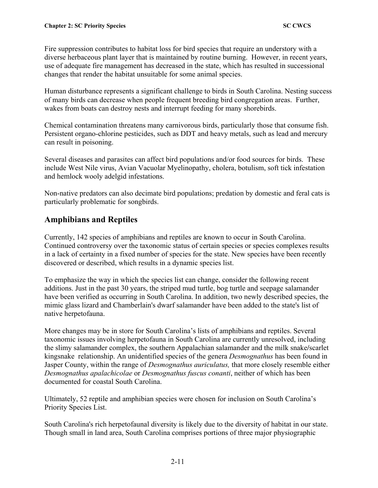Fire suppression contributes to habitat loss for bird species that require an understory with a diverse herbaceous plant layer that is maintained by routine burning. However, in recent years, use of adequate fire management has decreased in the state, which has resulted in successional changes that render the habitat unsuitable for some animal species.

Human disturbance represents a significant challenge to birds in South Carolina. Nesting success of many birds can decrease when people frequent breeding bird congregation areas. Further, wakes from boats can destroy nests and interrupt feeding for many shorebirds.

Chemical contamination threatens many carnivorous birds, particularly those that consume fish. Persistent organo-chlorine pesticides, such as DDT and heavy metals, such as lead and mercury can result in poisoning.

Several diseases and parasites can affect bird populations and/or food sources for birds. These include West Nile virus, Avian Vacuolar Myelinopathy, cholera, botulism, soft tick infestation and hemlock wooly adelgid infestations.

Non-native predators can also decimate bird populations; predation by domestic and feral cats is particularly problematic for songbirds.

## **Amphibians and Reptiles**

Currently, 142 species of amphibians and reptiles are known to occur in South Carolina. Continued controversy over the taxonomic status of certain species or species complexes results in a lack of certainty in a fixed number of species for the state. New species have been recently discovered or described, which results in a dynamic species list.

To emphasize the way in which the species list can change, consider the following recent additions. Just in the past 30 years, the striped mud turtle, bog turtle and seepage salamander have been verified as occurring in South Carolina. In addition, two newly described species, the mimic glass lizard and Chamberlain's dwarf salamander have been added to the state's list of native herpetofauna.

More changes may be in store for South Carolina's lists of amphibians and reptiles. Several taxonomic issues involving herpetofauna in South Carolina are currently unresolved, including the slimy salamander complex, the southern Appalachian salamander and the milk snake**/**scarlet kingsnake relationship. An unidentified species of the genera *Desmognathus* has been found in Jasper County, within the range of *Desmognathus auriculatus,* that more closely resemble either *Desmognathus apalachicolae* or *Desmognathus fuscus conanti*, neither of which has been documented for coastal South Carolina.

Ultimately, 52 reptile and amphibian species were chosen for inclusion on South Carolina's Priority Species List.

South Carolina's rich herpetofaunal diversity is likely due to the diversity of habitat in our state. Though small in land area, South Carolina comprises portions of three major physiographic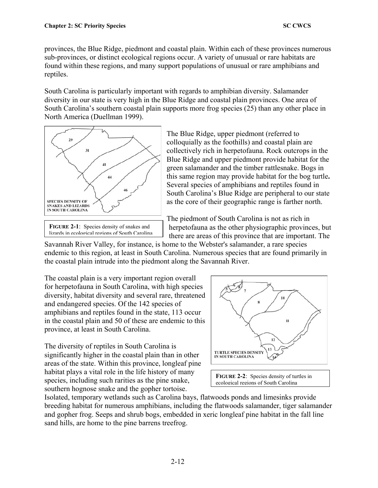provinces, the Blue Ridge, piedmont and coastal plain. Within each of these provinces numerous sub-provinces, or distinct ecological regions occur. A variety of unusual or rare habitats are found within these regions, and many support populations of unusual or rare amphibians and reptiles.

South Carolina is particularly important with regards to amphibian diversity. Salamander diversity in our state is very high in the Blue Ridge and coastal plain provinces. One area of South Carolina's southern coastal plain supports more frog species (25) than any other place in North America (Duellman 1999).



**FIGURE 2-1:** Species density of snakes and lizards in ecological regions of South Carolina

The Blue Ridge, upper piedmont (referred to colloquially as the foothills) and coastal plain are collectively rich in herpetofauna. Rock outcrops in the Blue Ridge and upper piedmont provide habitat for the green salamander and the timber rattlesnake. Bogs in this same region may provide habitat for the bog turtle**.**  Several species of amphibians and reptiles found in South Carolina's Blue Ridge are peripheral to our state as the core of their geographic range is farther north.

The piedmont of South Carolina is not as rich in herpetofauna as the other physiographic provinces, but there are areas of this province that are important. The

Savannah River Valley, for instance, is home to the Webster's salamander, a rare species endemic to this region, at least in South Carolina. Numerous species that are found primarily in the coastal plain intrude into the piedmont along the Savannah River.

The coastal plain is a very important region overall for herpetofauna in South Carolina, with high species diversity, habitat diversity and several rare, threatened and endangered species. Of the 142 species of amphibians and reptiles found in the state, 113 occur in the coastal plain and 50 of these are endemic to this province, at least in South Carolina.

The diversity of reptiles in South Carolina is significantly higher in the coastal plain than in other areas of the state. Within this province, longleaf pine habitat plays a vital role in the life history of many species, including such rarities as the pine snake, southern hognose snake and the gopher tortoise.



FIGURE 2-2: Species density of turtles in ecological regions of South Carolina

Isolated, temporary wetlands such as Carolina bays, flatwoods ponds and limesinks provide breeding habitat for numerous amphibians, including the flatwoods salamander, tiger salamander and gopher frog. Seeps and shrub bogs, embedded in xeric longleaf pine habitat in the fall line sand hills, are home to the pine barrens treefrog.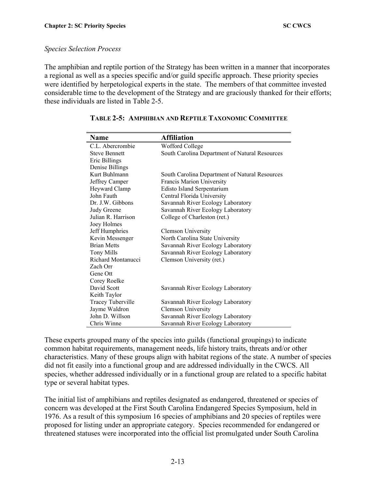#### *Species Selection Process*

The amphibian and reptile portion of the Strategy has been written in a manner that incorporates a regional as well as a species specific and/or guild specific approach. These priority species were identified by herpetological experts in the state. The members of that committee invested considerable time to the development of the Strategy and are graciously thanked for their efforts; these individuals are listed in Table 2-5.

| Name                     | <b>Affiliation</b>                             |
|--------------------------|------------------------------------------------|
| C.L. Abercrombie         | Wofford College                                |
| <b>Steve Bennett</b>     | South Carolina Department of Natural Resources |
| Eric Billings            |                                                |
| Denise Billings          |                                                |
| Kurt Buhlmann            | South Carolina Department of Natural Resources |
| Jeffrey Camper           | <b>Francis Marion University</b>               |
| Heyward Clamp            | <b>Edisto Island Serpentarium</b>              |
| John Fauth               | Central Florida University                     |
| Dr. J.W. Gibbons         | Savannah River Ecology Laboratory              |
| Judy Greene              | Savannah River Ecology Laboratory              |
| Julian R. Harrison       | College of Charleston (ret.)                   |
| Joey Holmes              |                                                |
| Jeff Humphries           | <b>Clemson University</b>                      |
| Kevin Messenger          | North Carolina State University                |
| <b>Brian Metts</b>       | Savannah River Ecology Laboratory              |
| <b>Tony Mills</b>        | Savannah River Ecology Laboratory              |
| Richard Montanucci       | Clemson University (ret.)                      |
| Zach Orr                 |                                                |
| Gene Ott                 |                                                |
| Corey Roelke             |                                                |
| David Scott              | Savannah River Ecology Laboratory              |
| Keith Taylor             |                                                |
| <b>Tracey Tuberville</b> | Savannah River Ecology Laboratory              |
| Jayme Waldron            | <b>Clemson University</b>                      |
| John D. Willson          | Savannah River Ecology Laboratory              |
| Chris Winne              | Savannah River Ecology Laboratory              |

#### **TABLE 2-5: AMPHIBIAN AND REPTILE TAXONOMIC COMMITTEE**

These experts grouped many of the species into guilds (functional groupings) to indicate common habitat requirements, management needs, life history traits, threats and/or other characteristics. Many of these groups align with habitat regions of the state. A number of species did not fit easily into a functional group and are addressed individually in the CWCS. All species, whether addressed individually or in a functional group are related to a specific habitat type or several habitat types.

The initial list of amphibians and reptiles designated as endangered, threatened or species of concern was developed at the First South Carolina Endangered Species Symposium, held in 1976. As a result of this symposium 16 species of amphibians and 20 species of reptiles were proposed for listing under an appropriate category. Species recommended for endangered or threatened statuses were incorporated into the official list promulgated under South Carolina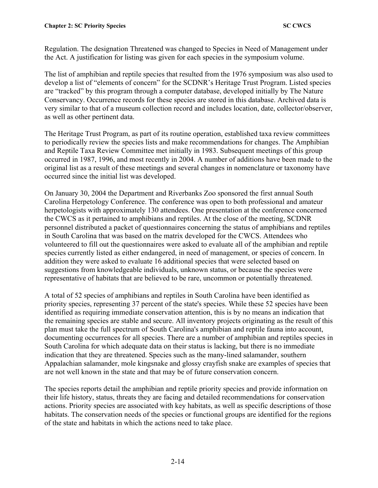Regulation. The designation Threatened was changed to Species in Need of Management under the Act. A justification for listing was given for each species in the symposium volume.

The list of amphibian and reptile species that resulted from the 1976 symposium was also used to develop a list of "elements of concern" for the SCDNR's Heritage Trust Program. Listed species are "tracked" by this program through a computer database, developed initially by The Nature Conservancy. Occurrence records for these species are stored in this database. Archived data is very similar to that of a museum collection record and includes location, date, collector/observer, as well as other pertinent data.

The Heritage Trust Program, as part of its routine operation, established taxa review committees to periodically review the species lists and make recommendations for changes. The Amphibian and Reptile Taxa Review Committee met initially in 1983. Subsequent meetings of this group occurred in 1987, 1996, and most recently in 2004. A number of additions have been made to the original list as a result of these meetings and several changes in nomenclature or taxonomy have occurred since the initial list was developed.

On January 30, 2004 the Department and Riverbanks Zoo sponsored the first annual South Carolina Herpetology Conference. The conference was open to both professional and amateur herpetologists with approximately 130 attendees. One presentation at the conference concerned the CWCS as it pertained to amphibians and reptiles. At the close of the meeting, SCDNR personnel distributed a packet of questionnaires concerning the status of amphibians and reptiles in South Carolina that was based on the matrix developed for the CWCS. Attendees who volunteered to fill out the questionnaires were asked to evaluate all of the amphibian and reptile species currently listed as either endangered, in need of management, or species of concern. In addition they were asked to evaluate 16 additional species that were selected based on suggestions from knowledgeable individuals, unknown status, or because the species were representative of habitats that are believed to be rare, uncommon or potentially threatened.

A total of 52 species of amphibians and reptiles in South Carolina have been identified as priority species, representing 37 percent of the state's species. While these 52 species have been identified as requiring immediate conservation attention, this is by no means an indication that the remaining species are stable and secure. All inventory projects originating as the result of this plan must take the full spectrum of South Carolina's amphibian and reptile fauna into account, documenting occurrences for all species. There are a number of amphibian and reptiles species in South Carolina for which adequate data on their status is lacking, but there is no immediate indication that they are threatened. Species such as the many-lined salamander, southern Appalachian salamander, mole kingsnake and glossy crayfish snake are examples of species that are not well known in the state and that may be of future conservation concern.

The species reports detail the amphibian and reptile priority species and provide information on their life history, status, threats they are facing and detailed recommendations for conservation actions. Priority species are associated with key habitats, as well as specific descriptions of those habitats. The conservation needs of the species or functional groups are identified for the regions of the state and habitats in which the actions need to take place.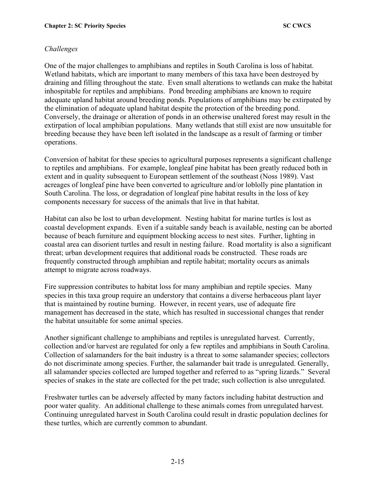### *Challenges*

One of the major challenges to amphibians and reptiles in South Carolina is loss of habitat. Wetland habitats, which are important to many members of this taxa have been destroyed by draining and filling throughout the state. Even small alterations to wetlands can make the habitat inhospitable for reptiles and amphibians. Pond breeding amphibians are known to require adequate upland habitat around breeding ponds. Populations of amphibians may be extirpated by the elimination of adequate upland habitat despite the protection of the breeding pond. Conversely, the drainage or alteration of ponds in an otherwise unaltered forest may result in the extirpation of local amphibian populations. Many wetlands that still exist are now unsuitable for breeding because they have been left isolated in the landscape as a result of farming or timber operations.

Conversion of habitat for these species to agricultural purposes represents a significant challenge to reptiles and amphibians. For example, longleaf pine habitat has been greatly reduced both in extent and in quality subsequent to European settlement of the southeast (Noss 1989). Vast acreages of longleaf pine have been converted to agriculture and/or loblolly pine plantation in South Carolina. The loss, or degradation of longleaf pine habitat results in the loss of key components necessary for success of the animals that live in that habitat.

Habitat can also be lost to urban development. Nesting habitat for marine turtles is lost as coastal development expands. Even if a suitable sandy beach is available, nesting can be aborted because of beach furniture and equipment blocking access to nest sites. Further, lighting in coastal area can disorient turtles and result in nesting failure. Road mortality is also a significant threat; urban development requires that additional roads be constructed. These roads are frequently constructed through amphibian and reptile habitat; mortality occurs as animals attempt to migrate across roadways.

Fire suppression contributes to habitat loss for many amphibian and reptile species. Many species in this taxa group require an understory that contains a diverse herbaceous plant layer that is maintained by routine burning. However, in recent years, use of adequate fire management has decreased in the state, which has resulted in successional changes that render the habitat unsuitable for some animal species.

Another significant challenge to amphibians and reptiles is unregulated harvest. Currently, collection and/or harvest are regulated for only a few reptiles and amphibians in South Carolina. Collection of salamanders for the bait industry is a threat to some salamander species; collectors do not discriminate among species. Further, the salamander bait trade is unregulated. Generally, all salamander species collected are lumped together and referred to as "spring lizards." Several species of snakes in the state are collected for the pet trade; such collection is also unregulated.

Freshwater turtles can be adversely affected by many factors including habitat destruction and poor water quality. An additional challenge to these animals comes from unregulated harvest. Continuing unregulated harvest in South Carolina could result in drastic population declines for these turtles, which are currently common to abundant.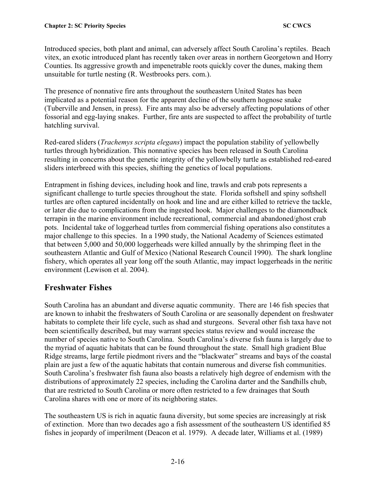Introduced species, both plant and animal, can adversely affect South Carolina's reptiles. Beach vitex, an exotic introduced plant has recently taken over areas in northern Georgetown and Horry Counties. Its aggressive growth and impenetrable roots quickly cover the dunes, making them unsuitable for turtle nesting (R. Westbrooks pers. com.).

The presence of nonnative fire ants throughout the southeastern United States has been implicated as a potential reason for the apparent decline of the southern hognose snake (Tuberville and Jensen, in press). Fire ants may also be adversely affecting populations of other fossorial and egg-laying snakes. Further, fire ants are suspected to affect the probability of turtle hatchling survival.

Red-eared sliders (*Trachemys scripta elegans*) impact the population stability of yellowbelly turtles through hybridization. This nonnative species has been released in South Carolina resulting in concerns about the genetic integrity of the yellowbelly turtle as established red-eared sliders interbreed with this species, shifting the genetics of local populations.

Entrapment in fishing devices, including hook and line, trawls and crab pots represents a significant challenge to turtle species throughout the state. Florida softshell and spiny softshell turtles are often captured incidentally on hook and line and are either killed to retrieve the tackle, or later die due to complications from the ingested hook. Major challenges to the diamondback terrapin in the marine environment include recreational, commercial and abandoned/ghost crab pots. Incidental take of loggerhead turtles from commercial fishing operations also constitutes a major challenge to this species. In a 1990 study, the National Academy of Sciences estimated that between 5,000 and 50,000 loggerheads were killed annually by the shrimping fleet in the southeastern Atlantic and Gulf of Mexico (National Research Council 1990). The shark longline fishery, which operates all year long off the south Atlantic, may impact loggerheads in the neritic environment (Lewison et al. 2004).

# **Freshwater Fishes**

South Carolina has an abundant and diverse aquatic community. There are 146 fish species that are known to inhabit the freshwaters of South Carolina or are seasonally dependent on freshwater habitats to complete their life cycle, such as shad and sturgeons. Several other fish taxa have not been scientifically described, but may warrant species status review and would increase the number of species native to South Carolina. South Carolina's diverse fish fauna is largely due to the myriad of aquatic habitats that can be found throughout the state. Small high gradient Blue Ridge streams, large fertile piedmont rivers and the "blackwater" streams and bays of the coastal plain are just a few of the aquatic habitats that contain numerous and diverse fish communities. South Carolina's freshwater fish fauna also boasts a relatively high degree of endemism with the distributions of approximately 22 species, including the Carolina darter and the Sandhills chub, that are restricted to South Carolina or more often restricted to a few drainages that South Carolina shares with one or more of its neighboring states.

The southeastern US is rich in aquatic fauna diversity, but some species are increasingly at risk of extinction. More than two decades ago a fish assessment of the southeastern US identified 85 fishes in jeopardy of imperilment (Deacon et al. 1979). A decade later, Williams et al. (1989)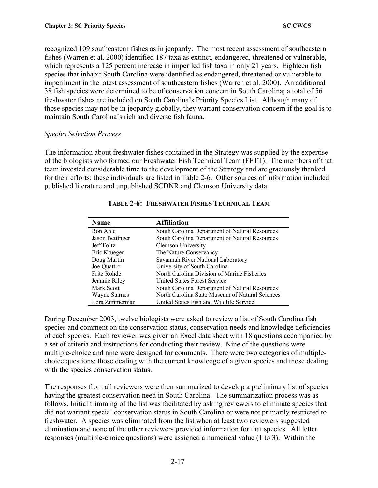recognized 109 southeastern fishes as in jeopardy. The most recent assessment of southeastern fishes (Warren et al. 2000) identified 187 taxa as extinct, endangered, threatened or vulnerable, which represents a 125 percent increase in imperiled fish taxa in only 21 years. Eighteen fish species that inhabit South Carolina were identified as endangered, threatened or vulnerable to imperilment in the latest assessment of southeastern fishes (Warren et al. 2000). An additional 38 fish species were determined to be of conservation concern in South Carolina; a total of 56 freshwater fishes are included on South Carolina's Priority Species List. Although many of those species may not be in jeopardy globally, they warrant conservation concern if the goal is to maintain South Carolina's rich and diverse fish fauna.

#### *Species Selection Process*

The information about freshwater fishes contained in the Strategy was supplied by the expertise of the biologists who formed our Freshwater Fish Technical Team (FFTT). The members of that team invested considerable time to the development of the Strategy and are graciously thanked for their efforts; these individuals are listed in Table 2-6. Other sources of information included published literature and unpublished SCDNR and Clemson University data.

| <b>Name</b>          | <b>Affiliation</b>                              |
|----------------------|-------------------------------------------------|
| Ron Ahle             | South Carolina Department of Natural Resources  |
| Jason Bettinger      | South Carolina Department of Natural Resources  |
| Jeff Foltz           | <b>Clemson University</b>                       |
| Eric Krueger         | The Nature Conservancy                          |
| Doug Martin          | Savannah River National Laboratory              |
| Joe Ouattro          | University of South Carolina                    |
| Fritz Rohde          | North Carolina Division of Marine Fisheries     |
| Jeannie Riley        | <b>United States Forest Service</b>             |
| Mark Scott           | South Carolina Department of Natural Resources  |
| <b>Wayne Starnes</b> | North Carolina State Museum of Natural Sciences |
| Lora Zimmerman       | United States Fish and Wildlife Service         |

### **TABLE 2-6: FRESHWATER FISHES TECHNICAL TEAM**

During December 2003, twelve biologists were asked to review a list of South Carolina fish species and comment on the conservation status, conservation needs and knowledge deficiencies of each species. Each reviewer was given an Excel data sheet with 18 questions accompanied by a set of criteria and instructions for conducting their review. Nine of the questions were multiple-choice and nine were designed for comments. There were two categories of multiplechoice questions: those dealing with the current knowledge of a given species and those dealing with the species conservation status.

The responses from all reviewers were then summarized to develop a preliminary list of species having the greatest conservation need in South Carolina. The summarization process was as follows. Initial trimming of the list was facilitated by asking reviewers to eliminate species that did not warrant special conservation status in South Carolina or were not primarily restricted to freshwater. A species was eliminated from the list when at least two reviewers suggested elimination and none of the other reviewers provided information for that species. All letter responses (multiple-choice questions) were assigned a numerical value (1 to 3). Within the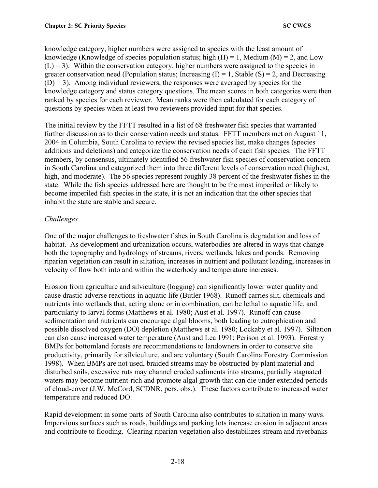knowledge category, higher numbers were assigned to species with the least amount of knowledge (Knowledge of species population status; high  $(H) = 1$ , Medium  $(M) = 2$ , and Low  $(L) = 3$ ). Within the conservation category, higher numbers were assigned to the species in greater conservation need (Population status; Increasing  $(I) = 1$ , Stable  $(S) = 2$ , and Decreasing  $(D) = 3$ ). Among individual reviewers, the responses were averaged by species for the knowledge category and status category questions. The mean scores in both categories were then ranked by species for each reviewer. Mean ranks were then calculated for each category of questions by species when at least two reviewers provided input for that species.

The initial review by the FFTT resulted in a list of 68 freshwater fish species that warranted further discussion as to their conservation needs and status. FFTT members met on August 11, 2004 in Columbia, South Carolina to review the revised species list, make changes (species additions and deletions) and categorize the conservation needs of each fish species. The FFTT members, by consensus, ultimately identified 56 freshwater fish species of conservation concern in South Carolina and categorized them into three different levels of conservation need (highest, high, and moderate). The 56 species represent roughly 38 percent of the freshwater fishes in the state. While the fish species addressed here are thought to be the most imperiled or likely to become imperiled fish species in the state, it is not an indication that the other species that inhabit the state are stable and secure.

### *Challenges*

One of the major challenges to freshwater fishes in South Carolina is degradation and loss of habitat. As development and urbanization occurs, waterbodies are altered in ways that change both the topography and hydrology of streams, rivers, wetlands, lakes and ponds. Removing riparian vegetation can result in siltation, increases in nutrient and pollutant loading, increases in velocity of flow both into and within the waterbody and temperature increases.

Erosion from agriculture and silviculture (logging) can significantly lower water quality and cause drastic adverse reactions in aquatic life (Butler 1968). Runoff carries silt, chemicals and nutrients into wetlands that, acting alone or in combination, can be lethal to aquatic life, and particularly to larval forms (Matthews et al. 1980; Aust et al. 1997). Runoff can cause sedimentation and nutrients can encourage algal blooms, both leading to eutrophication and possible dissolved oxygen (DO) depletion (Matthews et al. 1980; Lockaby et al. 1997). Siltation can also cause increased water temperature (Aust and Lea 1991; Perison et al. 1993). Forestry BMPs for bottomland forests are recommendations to landowners in order to conserve site productivity, primarily for silviculture, and are voluntary (South Carolina Forestry Commission 1998). When BMPs are not used, braided streams may be obstructed by plant material and disturbed soils, excessive ruts may channel eroded sediments into streams, partially stagnated waters may become nutrient-rich and promote algal growth that can die under extended periods of cloud-cover (J.W. McCord, SCDNR, pers. obs.). These factors contribute to increased water temperature and reduced DO.

Rapid development in some parts of South Carolina also contributes to siltation in many ways. Impervious surfaces such as roads, buildings and parking lots increase erosion in adjacent areas and contribute to flooding. Clearing riparian vegetation also destabilizes stream and riverbanks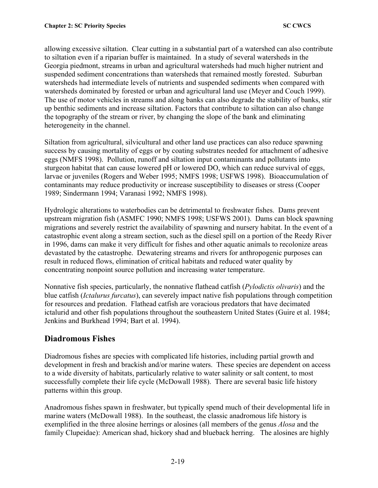allowing excessive siltation. Clear cutting in a substantial part of a watershed can also contribute to siltation even if a riparian buffer is maintained. In a study of several watersheds in the Georgia piedmont, streams in urban and agricultural watersheds had much higher nutrient and suspended sediment concentrations than watersheds that remained mostly forested. Suburban watersheds had intermediate levels of nutrients and suspended sediments when compared with watersheds dominated by forested or urban and agricultural land use (Meyer and Couch 1999). The use of motor vehicles in streams and along banks can also degrade the stability of banks, stir up benthic sediments and increase siltation. Factors that contribute to siltation can also change the topography of the stream or river, by changing the slope of the bank and eliminating heterogeneity in the channel.

Siltation from agricultural, silvicultural and other land use practices can also reduce spawning success by causing mortality of eggs or by coating substrates needed for attachment of adhesive eggs (NMFS 1998). Pollution, runoff and siltation input contaminants and pollutants into sturgeon habitat that can cause lowered pH or lowered DO, which can reduce survival of eggs, larvae or juveniles (Rogers and Weber 1995; NMFS 1998; USFWS 1998). Bioaccumulation of contaminants may reduce productivity or increase susceptibility to diseases or stress (Cooper 1989; Sindermann 1994; Varanasi 1992; NMFS 1998).

Hydrologic alterations to waterbodies can be detrimental to freshwater fishes. Dams prevent upstream migration fish (ASMFC 1990; NMFS 1998; USFWS 2001). Dams can block spawning migrations and severely restrict the availability of spawning and nursery habitat. In the event of a catastrophic event along a stream section, such as the diesel spill on a portion of the Reedy River in 1996, dams can make it very difficult for fishes and other aquatic animals to recolonize areas devastated by the catastrophe. Dewatering streams and rivers for anthropogenic purposes can result in reduced flows, elimination of critical habitats and reduced water quality by concentrating nonpoint source pollution and increasing water temperature.

Nonnative fish species, particularly, the nonnative flathead catfish (*Pylodictis olivaris*) and the blue catfish (*Ictalurus furcatus*), can severely impact native fish populations through competition for resources and predation. Flathead catfish are voracious predators that have decimated ictalurid and other fish populations throughout the southeastern United States (Guire et al. 1984; Jenkins and Burkhead 1994; Bart et al. 1994).

# **Diadromous Fishes**

Diadromous fishes are species with complicated life histories, including partial growth and development in fresh and brackish and/or marine waters. These species are dependent on access to a wide diversity of habitats, particularly relative to water salinity or salt content, to most successfully complete their life cycle (McDowall 1988). There are several basic life history patterns within this group.

Anadromous fishes spawn in freshwater, but typically spend much of their developmental life in marine waters (McDowall 1988). In the southeast, the classic anadromous life history is exemplified in the three alosine herrings or alosines (all members of the genus *Alosa* and the family Clupeidae): American shad, hickory shad and blueback herring. The alosines are highly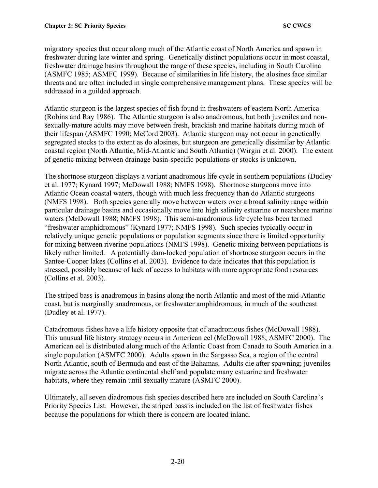migratory species that occur along much of the Atlantic coast of North America and spawn in freshwater during late winter and spring. Genetically distinct populations occur in most coastal, freshwater drainage basins throughout the range of these species, including in South Carolina (ASMFC 1985; ASMFC 1999). Because of similarities in life history, the alosines face similar threats and are often included in single comprehensive management plans. These species will be addressed in a guilded approach.

Atlantic sturgeon is the largest species of fish found in freshwaters of eastern North America (Robins and Ray 1986). The Atlantic sturgeon is also anadromous, but both juveniles and nonsexually-mature adults may move between fresh, brackish and marine habitats during much of their lifespan (ASMFC 1990; McCord 2003). Atlantic sturgeon may not occur in genetically segregated stocks to the extent as do alosines, but sturgeon are genetically dissimilar by Atlantic coastal region (North Atlantic, Mid-Atlantic and South Atlantic) (Wirgin et al. 2000). The extent of genetic mixing between drainage basin-specific populations or stocks is unknown.

The shortnose sturgeon displays a variant anadromous life cycle in southern populations (Dudley et al. 1977; Kynard 1997; McDowall 1988; NMFS 1998). Shortnose sturgeons move into Atlantic Ocean coastal waters, though with much less frequency than do Atlantic sturgeons (NMFS 1998). Both species generally move between waters over a broad salinity range within particular drainage basins and occasionally move into high salinity estuarine or nearshore marine waters (McDowall 1988; NMFS 1998). This semi-anadromous life cycle has been termed "freshwater amphidromous" (Kynard 1977; NMFS 1998). Such species typically occur in relatively unique genetic populations or population segments since there is limited opportunity for mixing between riverine populations (NMFS 1998). Genetic mixing between populations is likely rather limited. A potentially dam-locked population of shortnose sturgeon occurs in the Santee-Cooper lakes (Collins et al. 2003). Evidence to date indicates that this population is stressed, possibly because of lack of access to habitats with more appropriate food resources (Collins et al. 2003).

The striped bass is anadromous in basins along the north Atlantic and most of the mid-Atlantic coast, but is marginally anadromous, or freshwater amphidromous, in much of the southeast (Dudley et al. 1977).

Catadromous fishes have a life history opposite that of anadromous fishes (McDowall 1988). This unusual life history strategy occurs in American eel (McDowall 1988; ASMFC 2000). The American eel is distributed along much of the Atlantic Coast from Canada to South America in a single population (ASMFC 2000). Adults spawn in the Sargasso Sea, a region of the central North Atlantic, south of Bermuda and east of the Bahamas. Adults die after spawning; juveniles migrate across the Atlantic continental shelf and populate many estuarine and freshwater habitats, where they remain until sexually mature (ASMFC 2000).

Ultimately, all seven diadromous fish species described here are included on South Carolina's Priority Species List. However, the striped bass is included on the list of freshwater fishes because the populations for which there is concern are located inland.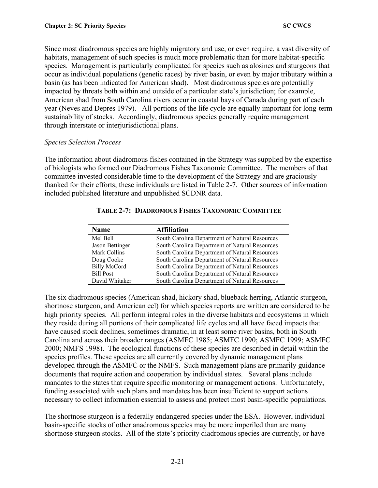Since most diadromous species are highly migratory and use, or even require, a vast diversity of habitats, management of such species is much more problematic than for more habitat-specific species. Management is particularly complicated for species such as alosines and sturgeons that occur as individual populations (genetic races) by river basin, or even by major tributary within a basin (as has been indicated for American shad). Most diadromous species are potentially impacted by threats both within and outside of a particular state's jurisdiction; for example, American shad from South Carolina rivers occur in coastal bays of Canada during part of each year (Neves and Depres 1979). All portions of the life cycle are equally important for long-term sustainability of stocks. Accordingly, diadromous species generally require management through interstate or interjurisdictional plans.

#### *Species Selection Process*

The information about diadromous fishes contained in the Strategy was supplied by the expertise of biologists who formed our Diadromous Fishes Taxonomic Committee. The members of that committee invested considerable time to the development of the Strategy and are graciously thanked for their efforts; these individuals are listed in Table 2-7. Other sources of information included published literature and unpublished SCDNR data.

| Name                | <b>Affiliation</b>                             |
|---------------------|------------------------------------------------|
| Mel Bell            | South Carolina Department of Natural Resources |
| Jason Bettinger     | South Carolina Department of Natural Resources |
| Mark Collins        | South Carolina Department of Natural Resources |
| Doug Cooke          | South Carolina Department of Natural Resources |
| <b>Billy McCord</b> | South Carolina Department of Natural Resources |
| <b>Bill Post</b>    | South Carolina Department of Natural Resources |
| David Whitaker      | South Carolina Department of Natural Resources |

### **TABLE 2-7: DIADROMOUS FISHES TAXONOMIC COMMITTEE**

The six diadromous species (American shad, hickory shad, blueback herring, Atlantic sturgeon, shortnose sturgeon, and American eel) for which species reports are written are considered to be high priority species. All perform integral roles in the diverse habitats and ecosystems in which they reside during all portions of their complicated life cycles and all have faced impacts that have caused stock declines, sometimes dramatic, in at least some river basins, both in South Carolina and across their broader ranges (ASMFC 1985; ASMFC 1990; ASMFC 1999; ASMFC 2000; NMFS 1998). The ecological functions of these species are described in detail within the species profiles. These species are all currently covered by dynamic management plans developed through the ASMFC or the NMFS. Such management plans are primarily guidance documents that require action and cooperation by individual states. Several plans include mandates to the states that require specific monitoring or management actions. Unfortunately, funding associated with such plans and mandates has been insufficient to support actions necessary to collect information essential to assess and protect most basin-specific populations.

The shortnose sturgeon is a federally endangered species under the ESA. However, individual basin-specific stocks of other anadromous species may be more imperiled than are many shortnose sturgeon stocks. All of the state's priority diadromous species are currently, or have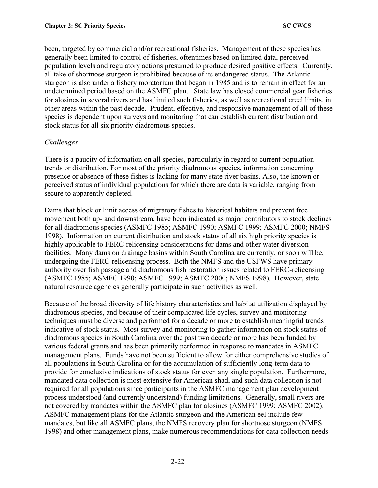been, targeted by commercial and/or recreational fisheries. Management of these species has generally been limited to control of fisheries, oftentimes based on limited data, perceived population levels and regulatory actions presumed to produce desired positive effects. Currently, all take of shortnose sturgeon is prohibited because of its endangered status. The Atlantic sturgeon is also under a fishery moratorium that began in 1985 and is to remain in effect for an undetermined period based on the ASMFC plan. State law has closed commercial gear fisheries for alosines in several rivers and has limited such fisheries, as well as recreational creel limits, in other areas within the past decade. Prudent, effective, and responsive management of all of these species is dependent upon surveys and monitoring that can establish current distribution and stock status for all six priority diadromous species.

### *Challenges*

There is a paucity of information on all species, particularly in regard to current population trends or distribution. For most of the priority diadromous species, information concerning presence or absence of these fishes is lacking for many state river basins. Also, the known or perceived status of individual populations for which there are data is variable, ranging from secure to apparently depleted.

Dams that block or limit access of migratory fishes to historical habitats and prevent free movement both up- and downstream, have been indicated as major contributors to stock declines for all diadromous species (ASMFC 1985; ASMFC 1990; ASMFC 1999; ASMFC 2000; NMFS 1998). Information on current distribution and stock status of all six high priority species is highly applicable to FERC-relicensing considerations for dams and other water diversion facilities. Many dams on drainage basins within South Carolina are currently, or soon will be, undergoing the FERC-relicensing process. Both the NMFS and the USFWS have primary authority over fish passage and diadromous fish restoration issues related to FERC-relicensing (ASMFC 1985; ASMFC 1990; ASMFC 1999; ASMFC 2000; NMFS 1998). However, state natural resource agencies generally participate in such activities as well.

Because of the broad diversity of life history characteristics and habitat utilization displayed by diadromous species, and because of their complicated life cycles, survey and monitoring techniques must be diverse and performed for a decade or more to establish meaningful trends indicative of stock status. Most survey and monitoring to gather information on stock status of diadromous species in South Carolina over the past two decade or more has been funded by various federal grants and has been primarily performed in response to mandates in ASMFC management plans. Funds have not been sufficient to allow for either comprehensive studies of all populations in South Carolina or for the accumulation of sufficiently long-term data to provide for conclusive indications of stock status for even any single population. Furthermore, mandated data collection is most extensive for American shad, and such data collection is not required for all populations since participants in the ASMFC management plan development process understood (and currently understand) funding limitations. Generally, small rivers are not covered by mandates within the ASMFC plan for alosines (ASMFC 1999; ASMFC 2002). ASMFC management plans for the Atlantic sturgeon and the American eel include few mandates, but like all ASMFC plans, the NMFS recovery plan for shortnose sturgeon (NMFS 1998) and other management plans, make numerous recommendations for data collection needs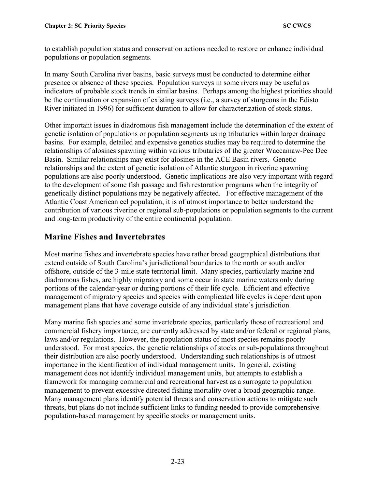to establish population status and conservation actions needed to restore or enhance individual populations or population segments.

In many South Carolina river basins, basic surveys must be conducted to determine either presence or absence of these species. Population surveys in some rivers may be useful as indicators of probable stock trends in similar basins. Perhaps among the highest priorities should be the continuation or expansion of existing surveys (i.e., a survey of sturgeons in the Edisto River initiated in 1996) for sufficient duration to allow for characterization of stock status.

Other important issues in diadromous fish management include the determination of the extent of genetic isolation of populations or population segments using tributaries within larger drainage basins. For example, detailed and expensive genetics studies may be required to determine the relationships of alosines spawning within various tributaries of the greater Waccamaw-Pee Dee Basin. Similar relationships may exist for alosines in the ACE Basin rivers. Genetic relationships and the extent of genetic isolation of Atlantic sturgeon in riverine spawning populations are also poorly understood. Genetic implications are also very important with regard to the development of some fish passage and fish restoration programs when the integrity of genetically distinct populations may be negatively affected. For effective management of the Atlantic Coast American eel population, it is of utmost importance to better understand the contribution of various riverine or regional sub-populations or population segments to the current and long-term productivity of the entire continental population.

# **Marine Fishes and Invertebrates**

Most marine fishes and invertebrate species have rather broad geographical distributions that extend outside of South Carolina's jurisdictional boundaries to the north or south and/or offshore, outside of the 3-mile state territorial limit. Many species, particularly marine and diadromous fishes, are highly migratory and some occur in state marine waters only during portions of the calendar-year or during portions of their life cycle. Efficient and effective management of migratory species and species with complicated life cycles is dependent upon management plans that have coverage outside of any individual state's jurisdiction.

Many marine fish species and some invertebrate species, particularly those of recreational and commercial fishery importance, are currently addressed by state and/or federal or regional plans, laws and/or regulations. However, the population status of most species remains poorly understood. For most species, the genetic relationships of stocks or sub-populations throughout their distribution are also poorly understood. Understanding such relationships is of utmost importance in the identification of individual management units. In general, existing management does not identify individual management units, but attempts to establish a framework for managing commercial and recreational harvest as a surrogate to population management to prevent excessive directed fishing mortality over a broad geographic range. Many management plans identify potential threats and conservation actions to mitigate such threats, but plans do not include sufficient links to funding needed to provide comprehensive population-based management by specific stocks or management units.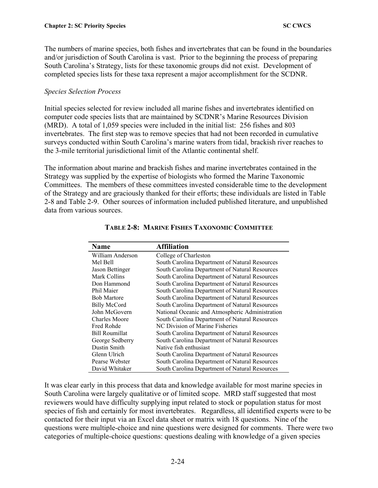The numbers of marine species, both fishes and invertebrates that can be found in the boundaries and/or jurisdiction of South Carolina is vast. Prior to the beginning the process of preparing South Carolina's Strategy, lists for these taxonomic groups did not exist. Development of completed species lists for these taxa represent a major accomplishment for the SCDNR.

#### *Species Selection Process*

Initial species selected for review included all marine fishes and invertebrates identified on computer code species lists that are maintained by SCDNR's Marine Resources Division (MRD). A total of 1,059 species were included in the initial list: 256 fishes and 803 invertebrates. The first step was to remove species that had not been recorded in cumulative surveys conducted within South Carolina's marine waters from tidal, brackish river reaches to the 3-mile territorial jurisdictional limit of the Atlantic continental shelf.

The information about marine and brackish fishes and marine invertebrates contained in the Strategy was supplied by the expertise of biologists who formed the Marine Taxonomic Committees. The members of these committees invested considerable time to the development of the Strategy and are graciously thanked for their efforts; these individuals are listed in Table 2-8 and Table 2-9. Other sources of information included published literature, and unpublished data from various sources.

| <b>Name</b>         | <b>Affiliation</b>                              |
|---------------------|-------------------------------------------------|
| William Anderson    | College of Charleston                           |
| Mel Bell            | South Carolina Department of Natural Resources  |
| Jason Bettinger     | South Carolina Department of Natural Resources  |
| Mark Collins        | South Carolina Department of Natural Resources  |
| Don Hammond         | South Carolina Department of Natural Resources  |
| Phil Maier          | South Carolina Department of Natural Resources  |
| <b>Bob Martore</b>  | South Carolina Department of Natural Resources  |
| <b>Billy McCord</b> | South Carolina Department of Natural Resources  |
| John McGovern       | National Oceanic and Atmospheric Administration |
| Charles Moore       | South Carolina Department of Natural Resources  |
| Fred Rohde          | NC Division of Marine Fisheries                 |
| Bill Roumillat      | South Carolina Department of Natural Resources  |
| George Sedberry     | South Carolina Department of Natural Resources  |
| Dustin Smith        | Native fish enthusiast                          |
| Glenn Ulrich        | South Carolina Department of Natural Resources  |
| Pearse Webster      | South Carolina Department of Natural Resources  |
| David Whitaker      | South Carolina Department of Natural Resources  |

**TABLE 2-8: MARINE FISHES TAXONOMIC COMMITTEE** 

It was clear early in this process that data and knowledge available for most marine species in South Carolina were largely qualitative or of limited scope. MRD staff suggested that most reviewers would have difficulty supplying input related to stock or population status for most species of fish and certainly for most invertebrates. Regardless, all identified experts were to be contacted for their input via an Excel data sheet or matrix with 18 questions. Nine of the questions were multiple-choice and nine questions were designed for comments. There were two categories of multiple-choice questions: questions dealing with knowledge of a given species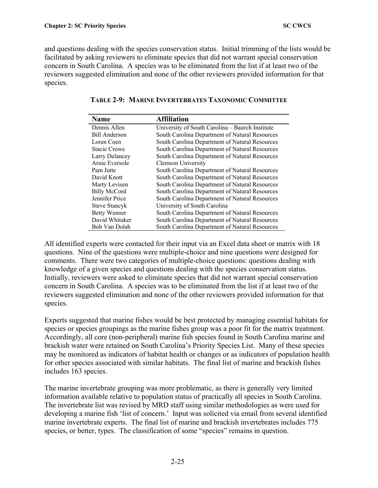and questions dealing with the species conservation status. Initial trimming of the lists would be facilitated by asking reviewers to eliminate species that did not warrant special conservation concern in South Carolina. A species was to be eliminated from the list if at least two of the reviewers suggested elimination and none of the other reviewers provided information for that species.

| <b>Name</b>          | <b>Affiliation</b>                              |
|----------------------|-------------------------------------------------|
| Dennis Allen         | University of South Carolina - Baurch Institute |
| Bill Anderson        | South Carolina Department of Natural Resources  |
| Loren Coen           | South Carolina Department of Natural Resources  |
| <b>Stacie Crowe</b>  | South Carolina Department of Natural Resources  |
| Larry Delancey       | South Carolina Department of Natural Resources  |
| Arnie Eversole       | Clemson University                              |
| Pam Jutte            | South Carolina Department of Natural Resources  |
| David Knott          | South Carolina Department of Natural Resources  |
| Marty Levisen        | South Carolina Department of Natural Resources  |
| <b>Billy McCord</b>  | South Carolina Department of Natural Resources  |
| Jennifer Price       | South Carolina Department of Natural Resources  |
| <b>Steve Stancyk</b> | University of South Carolina                    |
| <b>Betty Wenner</b>  | South Carolina Department of Natural Resources  |
| David Whitaker       | South Carolina Department of Natural Resources  |
| Bob Van Dolah        | South Carolina Department of Natural Resources  |

|  |  | <b>TABLE 2-9: MARINE INVERTEBRATES TAXONOMIC COMMITTEE</b> |  |  |
|--|--|------------------------------------------------------------|--|--|
|--|--|------------------------------------------------------------|--|--|

All identified experts were contacted for their input via an Excel data sheet or matrix with 18 questions. Nine of the questions were multiple-choice and nine questions were designed for comments. There were two categories of multiple-choice questions: questions dealing with knowledge of a given species and questions dealing with the species conservation status. Initially, reviewers were asked to eliminate species that did not warrant special conservation concern in South Carolina. A species was to be eliminated from the list if at least two of the reviewers suggested elimination and none of the other reviewers provided information for that species.

Experts suggested that marine fishes would be best protected by managing essential habitats for species or species groupings as the marine fishes group was a poor fit for the matrix treatment. Accordingly, all core (non-peripheral) marine fish species found in South Carolina marine and brackish water were retained on South Carolina's Priority Species List. Many of these species may be monitored as indicators of habitat health or changes or as indicators of population health for other species associated with similar habitats. The final list of marine and brackish fishes includes 163 species.

The marine invertebrate grouping was more problematic, as there is generally very limited information available relative to population status of practically all species in South Carolina. The invertebrate list was revised by MRD staff using similar methodologies as were used for developing a marine fish 'list of concern.' Input was solicited via email from several identified marine invertebrate experts. The final list of marine and brackish invertebrates includes 775 species, or better, types. The classification of some "species" remains in question.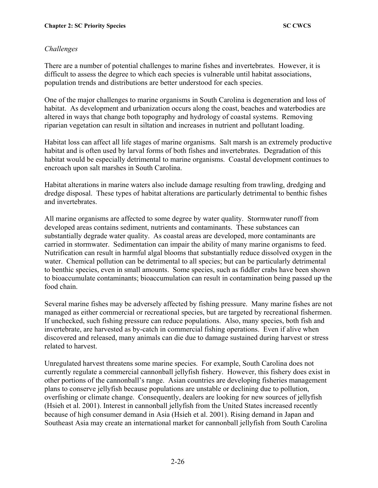### *Challenges*

There are a number of potential challenges to marine fishes and invertebrates. However, it is difficult to assess the degree to which each species is vulnerable until habitat associations, population trends and distributions are better understood for each species.

One of the major challenges to marine organisms in South Carolina is degeneration and loss of habitat. As development and urbanization occurs along the coast, beaches and waterbodies are altered in ways that change both topography and hydrology of coastal systems. Removing riparian vegetation can result in siltation and increases in nutrient and pollutant loading.

Habitat loss can affect all life stages of marine organisms. Salt marsh is an extremely productive habitat and is often used by larval forms of both fishes and invertebrates. Degradation of this habitat would be especially detrimental to marine organisms. Coastal development continues to encroach upon salt marshes in South Carolina.

Habitat alterations in marine waters also include damage resulting from trawling, dredging and dredge disposal. These types of habitat alterations are particularly detrimental to benthic fishes and invertebrates.

All marine organisms are affected to some degree by water quality. Stormwater runoff from developed areas contains sediment, nutrients and contaminants. These substances can substantially degrade water quality. As coastal areas are developed, more contaminants are carried in stormwater. Sedimentation can impair the ability of many marine organisms to feed. Nutrification can result in harmful algal blooms that substantially reduce dissolved oxygen in the water. Chemical pollution can be detrimental to all species; but can be particularly detrimental to benthic species, even in small amounts. Some species, such as fiddler crabs have been shown to bioaccumulate contaminants; bioaccumulation can result in contamination being passed up the food chain.

Several marine fishes may be adversely affected by fishing pressure. Many marine fishes are not managed as either commercial or recreational species, but are targeted by recreational fishermen. If unchecked, such fishing pressure can reduce populations. Also, many species, both fish and invertebrate, are harvested as by-catch in commercial fishing operations. Even if alive when discovered and released, many animals can die due to damage sustained during harvest or stress related to harvest.

Unregulated harvest threatens some marine species. For example, South Carolina does not currently regulate a commercial cannonball jellyfish fishery. However, this fishery does exist in other portions of the cannonball's range. Asian countries are developing fisheries management plans to conserve jellyfish because populations are unstable or declining due to pollution, overfishing or climate change. Consequently, dealers are looking for new sources of jellyfish (Hsieh et al. 2001). Interest in cannonball jellyfish from the United States increased recently because of high consumer demand in Asia (Hsieh et al. 2001). Rising demand in Japan and Southeast Asia may create an international market for cannonball jellyfish from South Carolina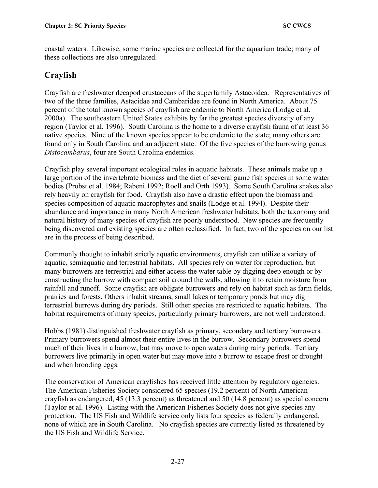coastal waters. Likewise, some marine species are collected for the aquarium trade; many of these collections are also unregulated.

# **Crayfish**

Crayfish are freshwater decapod crustaceans of the superfamily Astacoidea. Representatives of two of the three families, Astacidae and Cambaridae are found in North America. About 75 percent of the total known species of crayfish are endemic to North America (Lodge et al. 2000a). The southeastern United States exhibits by far the greatest species diversity of any region (Taylor et al. 1996). South Carolina is the home to a diverse crayfish fauna of at least 36 native species. Nine of the known species appear to be endemic to the state; many others are found only in South Carolina and an adjacent state. Of the five species of the burrowing genus *Distocambarus*, four are South Carolina endemics.

Crayfish play several important ecological roles in aquatic habitats. These animals make up a large portion of the invertebrate biomass and the diet of several game fish species in some water bodies (Probst et al. 1984; Rabeni 1992; Roell and Orth 1993). Some South Carolina snakes also rely heavily on crayfish for food. Crayfish also have a drastic effect upon the biomass and species composition of aquatic macrophytes and snails (Lodge et al. 1994). Despite their abundance and importance in many North American freshwater habitats, both the taxonomy and natural history of many species of crayfish are poorly understood. New species are frequently being discovered and existing species are often reclassified. In fact, two of the species on our list are in the process of being described.

Commonly thought to inhabit strictly aquatic environments, crayfish can utilize a variety of aquatic, semiaquatic and terrestrial habitats. All species rely on water for reproduction, but many burrowers are terrestrial and either access the water table by digging deep enough or by constructing the burrow with compact soil around the walls, allowing it to retain moisture from rainfall and runoff. Some crayfish are obligate burrowers and rely on habitat such as farm fields, prairies and forests. Others inhabit streams, small lakes or temporary ponds but may dig terrestrial burrows during dry periods. Still other species are restricted to aquatic habitats. The habitat requirements of many species, particularly primary burrowers, are not well understood.

Hobbs (1981) distinguished freshwater crayfish as primary, secondary and tertiary burrowers. Primary burrowers spend almost their entire lives in the burrow. Secondary burrowers spend much of their lives in a burrow, but may move to open waters during rainy periods. Tertiary burrowers live primarily in open water but may move into a burrow to escape frost or drought and when brooding eggs.

The conservation of American crayfishes has received little attention by regulatory agencies. The American Fisheries Society considered 65 species (19.2 percent) of North American crayfish as endangered, 45 (13.3 percent) as threatened and 50 (14.8 percent) as special concern (Taylor et al. 1996). Listing with the American Fisheries Society does not give species any protection. The US Fish and Wildlife service only lists four species as federally endangered, none of which are in South Carolina. No crayfish species are currently listed as threatened by the US Fish and Wildlife Service.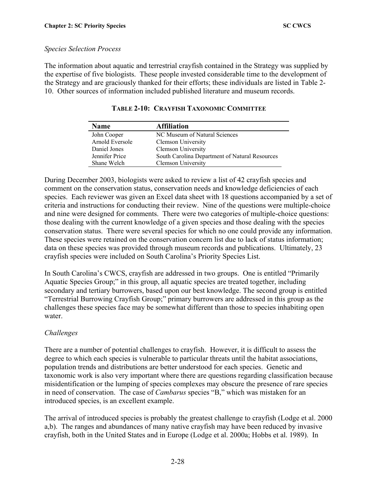#### *Species Selection Process*

The information about aquatic and terrestrial crayfish contained in the Strategy was supplied by the expertise of five biologists. These people invested considerable time to the development of the Strategy and are graciously thanked for their efforts; these individuals are listed in Table 2- 10. Other sources of information included published literature and museum records.

| <b>Name</b>     | <b>Affiliation</b>                             |
|-----------------|------------------------------------------------|
| John Cooper     | NC Museum of Natural Sciences                  |
| Arnold Eversole | <b>Clemson University</b>                      |
| Daniel Jones    | Clemson University                             |
| Jennifer Price  | South Carolina Department of Natural Resources |
| Shane Welch     | Clemson University                             |

| <b>TABLE 2-10: CRAYFISH TAXONOMIC COMMITTEE</b> |  |
|-------------------------------------------------|--|
|-------------------------------------------------|--|

During December 2003, biologists were asked to review a list of 42 crayfish species and comment on the conservation status, conservation needs and knowledge deficiencies of each species. Each reviewer was given an Excel data sheet with 18 questions accompanied by a set of criteria and instructions for conducting their review. Nine of the questions were multiple-choice and nine were designed for comments. There were two categories of multiple-choice questions: those dealing with the current knowledge of a given species and those dealing with the species conservation status. There were several species for which no one could provide any information. These species were retained on the conservation concern list due to lack of status information; data on these species was provided through museum records and publications. Ultimately, 23 crayfish species were included on South Carolina's Priority Species List.

In South Carolina's CWCS, crayfish are addressed in two groups. One is entitled "Primarily Aquatic Species Group;" in this group, all aquatic species are treated together, including secondary and tertiary burrowers, based upon our best knowledge. The second group is entitled "Terrestrial Burrowing Crayfish Group;" primary burrowers are addressed in this group as the challenges these species face may be somewhat different than those to species inhabiting open water.

### *Challenges*

There are a number of potential challenges to crayfish. However, it is difficult to assess the degree to which each species is vulnerable to particular threats until the habitat associations, population trends and distributions are better understood for each species. Genetic and taxonomic work is also very important where there are questions regarding classification because misidentification or the lumping of species complexes may obscure the presence of rare species in need of conservation. The case of *Cambarus* species "B," which was mistaken for an introduced species, is an excellent example.

The arrival of introduced species is probably the greatest challenge to crayfish (Lodge et al. 2000 a,b). The ranges and abundances of many native crayfish may have been reduced by invasive crayfish, both in the United States and in Europe (Lodge et al. 2000a; Hobbs et al. 1989). In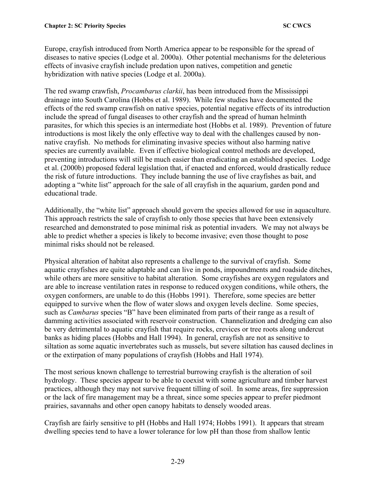Europe, crayfish introduced from North America appear to be responsible for the spread of diseases to native species (Lodge et al. 2000a). Other potential mechanisms for the deleterious effects of invasive crayfish include predation upon natives, competition and genetic hybridization with native species (Lodge et al. 2000a).

The red swamp crawfish, *Procambarus clarkii*, has been introduced from the Mississippi drainage into South Carolina (Hobbs et al. 1989). While few studies have documented the effects of the red swamp crawfish on native species, potential negative effects of its introduction include the spread of fungal diseases to other crayfish and the spread of human helminth parasites, for which this species is an intermediate host (Hobbs et al. 1989). Prevention of future introductions is most likely the only effective way to deal with the challenges caused by nonnative crayfish. No methods for eliminating invasive species without also harming native species are currently available. Even if effective biological control methods are developed, preventing introductions will still be much easier than eradicating an established species. Lodge et al. (2000b) proposed federal legislation that, if enacted and enforced, would drastically reduce the risk of future introductions. They include banning the use of live crayfishes as bait, and adopting a "white list" approach for the sale of all crayfish in the aquarium, garden pond and educational trade.

Additionally, the "white list" approach should govern the species allowed for use in aquaculture. This approach restricts the sale of crayfish to only those species that have been extensively researched and demonstrated to pose minimal risk as potential invaders. We may not always be able to predict whether a species is likely to become invasive; even those thought to pose minimal risks should not be released.

Physical alteration of habitat also represents a challenge to the survival of crayfish. Some aquatic crayfishes are quite adaptable and can live in ponds, impoundments and roadside ditches, while others are more sensitive to habitat alteration. Some crayfishes are oxygen regulators and are able to increase ventilation rates in response to reduced oxygen conditions, while others, the oxygen conformers, are unable to do this (Hobbs 1991). Therefore, some species are better equipped to survive when the flow of water slows and oxygen levels decline. Some species, such as *Cambarus* species "B" have been eliminated from parts of their range as a result of damming activities associated with reservoir construction. Channelization and dredging can also be very detrimental to aquatic crayfish that require rocks, crevices or tree roots along undercut banks as hiding places (Hobbs and Hall 1994). In general, crayfish are not as sensitive to siltation as some aquatic invertebrates such as mussels, but severe siltation has caused declines in or the extirpation of many populations of crayfish (Hobbs and Hall 1974).

The most serious known challenge to terrestrial burrowing crayfish is the alteration of soil hydrology. These species appear to be able to coexist with some agriculture and timber harvest practices, although they may not survive frequent tilling of soil. In some areas, fire suppression or the lack of fire management may be a threat, since some species appear to prefer piedmont prairies, savannahs and other open canopy habitats to densely wooded areas.

Crayfish are fairly sensitive to pH (Hobbs and Hall 1974; Hobbs 1991). It appears that stream dwelling species tend to have a lower tolerance for low pH than those from shallow lentic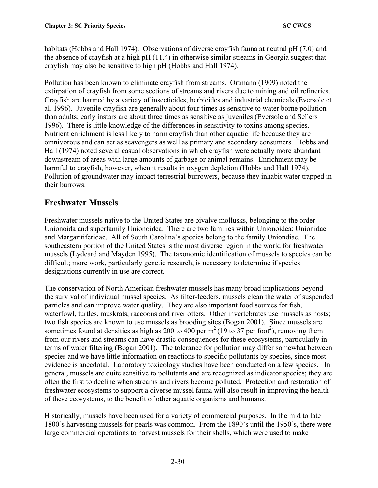habitats (Hobbs and Hall 1974). Observations of diverse crayfish fauna at neutral pH (7.0) and the absence of crayfish at a high pH (11.4) in otherwise similar streams in Georgia suggest that crayfish may also be sensitive to high pH (Hobbs and Hall 1974).

Pollution has been known to eliminate crayfish from streams. Ortmann (1909) noted the extirpation of crayfish from some sections of streams and rivers due to mining and oil refineries. Crayfish are harmed by a variety of insecticides, herbicides and industrial chemicals (Eversole et al. 1996). Juvenile crayfish are generally about four times as sensitive to water borne pollution than adults; early instars are about three times as sensitive as juveniles (Eversole and Sellers 1996). There is little knowledge of the differences in sensitivity to toxins among species. Nutrient enrichment is less likely to harm crayfish than other aquatic life because they are omnivorous and can act as scavengers as well as primary and secondary consumers. Hobbs and Hall (1974) noted several casual observations in which crayfish were actually more abundant downstream of areas with large amounts of garbage or animal remains. Enrichment may be harmful to crayfish, however, when it results in oxygen depletion (Hobbs and Hall 1974). Pollution of groundwater may impact terrestrial burrowers, because they inhabit water trapped in their burrows.

# **Freshwater Mussels**

Freshwater mussels native to the United States are bivalve mollusks, belonging to the order Unionoida and superfamily Unionoidea. There are two families within Unionoidea: Unionidae and Margaritiferidae. All of South Carolina's species belong to the family Uniondiae. The southeastern portion of the United States is the most diverse region in the world for freshwater mussels (Lydeard and Mayden 1995). The taxonomic identification of mussels to species can be difficult; more work, particularly genetic research, is necessary to determine if species designations currently in use are correct.

The conservation of North American freshwater mussels has many broad implications beyond the survival of individual mussel species. As filter-feeders, mussels clean the water of suspended particles and can improve water quality. They are also important food sources for fish, waterfowl, turtles, muskrats, raccoons and river otters. Other invertebrates use mussels as hosts; two fish species are known to use mussels as brooding sites (Bogan 2001). Since mussels are sometimes found at densities as high as 200 to 400 per  $m^2$  (19 to 37 per foot<sup>2</sup>), removing them from our rivers and streams can have drastic consequences for these ecosystems, particularly in terms of water filtering (Bogan 2001). The tolerance for pollution may differ somewhat between species and we have little information on reactions to specific pollutants by species, since most evidence is anecdotal. Laboratory toxicology studies have been conducted on a few species. In general, mussels are quite sensitive to pollutants and are recognized as indicator species; they are often the first to decline when streams and rivers become polluted. Protection and restoration of freshwater ecosystems to support a diverse mussel fauna will also result in improving the health of these ecosystems, to the benefit of other aquatic organisms and humans.

Historically, mussels have been used for a variety of commercial purposes. In the mid to late 1800's harvesting mussels for pearls was common. From the 1890's until the 1950's, there were large commercial operations to harvest mussels for their shells, which were used to make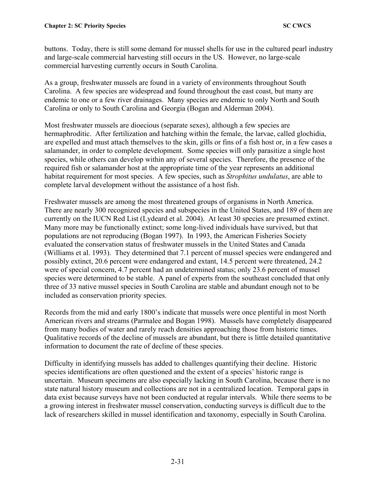buttons. Today, there is still some demand for mussel shells for use in the cultured pearl industry and large-scale commercial harvesting still occurs in the US. However, no large-scale commercial harvesting currently occurs in South Carolina.

As a group, freshwater mussels are found in a variety of environments throughout South Carolina. A few species are widespread and found throughout the east coast, but many are endemic to one or a few river drainages. Many species are endemic to only North and South Carolina or only to South Carolina and Georgia (Bogan and Alderman 2004).

Most freshwater mussels are dioecious (separate sexes), although a few species are hermaphroditic. After fertilization and hatching within the female, the larvae, called glochidia, are expelled and must attach themselves to the skin, gills or fins of a fish host or, in a few cases a salamander, in order to complete development. Some species will only parasitize a single host species, while others can develop within any of several species. Therefore, the presence of the required fish or salamander host at the appropriate time of the year represents an additional habitat requirement for most species. A few species, such as *Strophitus undulatus*, are able to complete larval development without the assistance of a host fish.

Freshwater mussels are among the most threatened groups of organisms in North America. There are nearly 300 recognized species and subspecies in the United States, and 189 of them are currently on the IUCN Red List (Lydeard et al. 2004). At least 30 species are presumed extinct. Many more may be functionally extinct; some long-lived individuals have survived, but that populations are not reproducing (Bogan 1997). In 1993, the American Fisheries Society evaluated the conservation status of freshwater mussels in the United States and Canada (Williams et al. 1993). They determined that 7.1 percent of mussel species were endangered and possibly extinct, 20.6 percent were endangered and extant, 14.5 percent were threatened, 24.2 were of special concern, 4.7 percent had an undetermined status; only 23.6 percent of mussel species were determined to be stable. A panel of experts from the southeast concluded that only three of 33 native mussel species in South Carolina are stable and abundant enough not to be included as conservation priority species.

Records from the mid and early 1800's indicate that mussels were once plentiful in most North American rivers and streams (Parmalee and Bogan 1998). Mussels have completely disappeared from many bodies of water and rarely reach densities approaching those from historic times. Qualitative records of the decline of mussels are abundant, but there is little detailed quantitative information to document the rate of decline of these species.

Difficulty in identifying mussels has added to challenges quantifying their decline. Historic species identifications are often questioned and the extent of a species' historic range is uncertain. Museum specimens are also especially lacking in South Carolina, because there is no state natural history museum and collections are not in a centralized location. Temporal gaps in data exist because surveys have not been conducted at regular intervals. While there seems to be a growing interest in freshwater mussel conservation, conducting surveys is difficult due to the lack of researchers skilled in mussel identification and taxonomy, especially in South Carolina.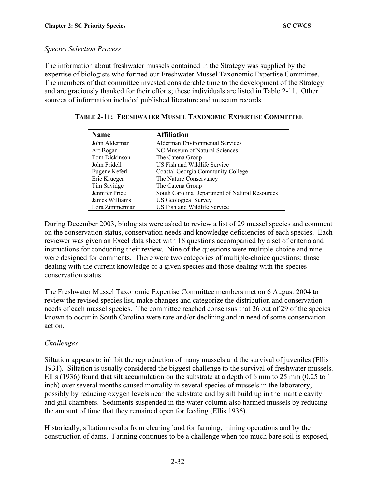#### *Species Selection Process*

The information about freshwater mussels contained in the Strategy was supplied by the expertise of biologists who formed our Freshwater Mussel Taxonomic Expertise Committee. The members of that committee invested considerable time to the development of the Strategy and are graciously thanked for their efforts; these individuals are listed in Table 2-11. Other sources of information included published literature and museum records.

| <b>Name</b>    | <b>Affiliation</b>                             |
|----------------|------------------------------------------------|
| John Alderman  | <b>Alderman Environmental Services</b>         |
| Art Bogan      | NC Museum of Natural Sciences                  |
| Tom Dickinson  | The Catena Group                               |
| John Fridell   | US Fish and Wildlife Service                   |
| Eugene Keferl  | <b>Coastal Georgia Community College</b>       |
| Eric Krueger   | The Nature Conservancy                         |
| Tim Savidge    | The Catena Group                               |
| Jennifer Price | South Carolina Department of Natural Resources |
| James Williams | <b>US Geological Survey</b>                    |
| Lora Zimmerman | US Fish and Wildlife Service                   |

#### **TABLE 2-11: FRESHWATER MUSSEL TAXONOMIC EXPERTISE COMMITTEE**

During December 2003, biologists were asked to review a list of 29 mussel species and comment on the conservation status, conservation needs and knowledge deficiencies of each species. Each reviewer was given an Excel data sheet with 18 questions accompanied by a set of criteria and instructions for conducting their review. Nine of the questions were multiple-choice and nine were designed for comments. There were two categories of multiple-choice questions: those dealing with the current knowledge of a given species and those dealing with the species conservation status.

The Freshwater Mussel Taxonomic Expertise Committee members met on 6 August 2004 to review the revised species list, make changes and categorize the distribution and conservation needs of each mussel species. The committee reached consensus that 26 out of 29 of the species known to occur in South Carolina were rare and/or declining and in need of some conservation action.

### *Challenges*

Siltation appears to inhibit the reproduction of many mussels and the survival of juveniles (Ellis 1931). Siltation is usually considered the biggest challenge to the survival of freshwater mussels. Ellis (1936) found that silt accumulation on the substrate at a depth of 6 mm to 25 mm (0.25 to 1 inch) over several months caused mortality in several species of mussels in the laboratory, possibly by reducing oxygen levels near the substrate and by silt build up in the mantle cavity and gill chambers. Sediments suspended in the water column also harmed mussels by reducing the amount of time that they remained open for feeding (Ellis 1936).

Historically, siltation results from clearing land for farming, mining operations and by the construction of dams. Farming continues to be a challenge when too much bare soil is exposed,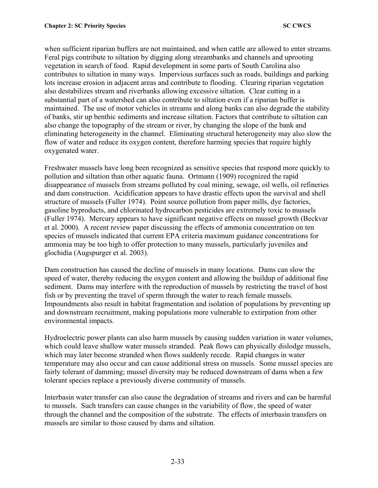when sufficient riparian buffers are not maintained, and when cattle are allowed to enter streams. Feral pigs contribute to siltation by digging along streambanks and channels and uprooting vegetation in search of food. Rapid development in some parts of South Carolina also contributes to siltation in many ways. Impervious surfaces such as roads, buildings and parking lots increase erosion in adjacent areas and contribute to flooding. Clearing riparian vegetation also destabilizes stream and riverbanks allowing excessive siltation. Clear cutting in a substantial part of a watershed can also contribute to siltation even if a riparian buffer is maintained. The use of motor vehicles in streams and along banks can also degrade the stability of banks, stir up benthic sediments and increase siltation. Factors that contribute to siltation can also change the topography of the stream or river, by changing the slope of the bank and eliminating heterogeneity in the channel. Eliminating structural heterogeneity may also slow the flow of water and reduce its oxygen content, therefore harming species that require highly oxygenated water.

Freshwater mussels have long been recognized as sensitive species that respond more quickly to pollution and siltation than other aquatic fauna. Ortmann (1909) recognized the rapid disappearance of mussels from streams polluted by coal mining, sewage, oil wells, oil refineries and dam construction. Acidification appears to have drastic effects upon the survival and shell structure of mussels (Fuller 1974). Point source pollution from paper mills, dye factories, gasoline byproducts, and chlorinated hydrocarbon pesticides are extremely toxic to mussels (Fuller 1974). Mercury appears to have significant negative effects on mussel growth (Beckvar et al. 2000). A recent review paper discussing the effects of ammonia concentration on ten species of mussels indicated that current EPA criteria maximum guidance concentrations for ammonia may be too high to offer protection to many mussels, particularly juveniles and glochidia (Augspurger et al. 2003).

Dam construction has caused the decline of mussels in many locations. Dams can slow the speed of water, thereby reducing the oxygen content and allowing the buildup of additional fine sediment. Dams may interfere with the reproduction of mussels by restricting the travel of host fish or by preventing the travel of sperm through the water to reach female mussels. Impoundments also result in habitat fragmentation and isolation of populations by preventing up and downstream recruitment, making populations more vulnerable to extirpation from other environmental impacts.

Hydroelectric power plants can also harm mussels by causing sudden variation in water volumes, which could leave shallow water mussels stranded. Peak flows can physically dislodge mussels, which may later become stranded when flows suddenly recede. Rapid changes in water temperature may also occur and can cause additional stress on mussels. Some mussel species are fairly tolerant of damming; mussel diversity may be reduced downstream of dams when a few tolerant species replace a previously diverse community of mussels.

Interbasin water transfer can also cause the degradation of streams and rivers and can be harmful to mussels. Such transfers can cause changes in the variability of flow, the speed of water through the channel and the composition of the substrate. The effects of interbasin transfers on mussels are similar to those caused by dams and siltation.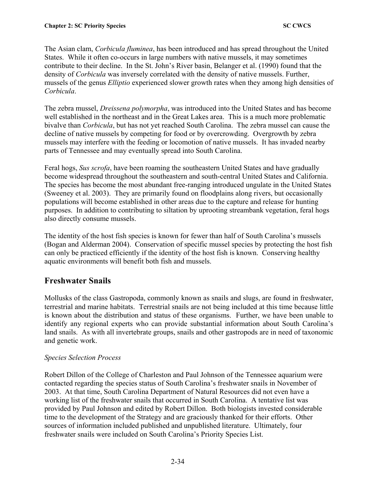The Asian clam, *Corbicula fluminea*, has been introduced and has spread throughout the United States. While it often co-occurs in large numbers with native mussels, it may sometimes contribute to their decline. In the St. John's River basin, Belanger et al. (1990) found that the density of *Corbicula* was inversely correlated with the density of native mussels. Further, mussels of the genus *Elliptio* experienced slower growth rates when they among high densities of *Corbicula*.

The zebra mussel, *Dreissena polymorpha*, was introduced into the United States and has become well established in the northeast and in the Great Lakes area. This is a much more problematic bivalve than *Corbicula*, but has not yet reached South Carolina. The zebra mussel can cause the decline of native mussels by competing for food or by overcrowding. Overgrowth by zebra mussels may interfere with the feeding or locomotion of native mussels. It has invaded nearby parts of Tennessee and may eventually spread into South Carolina.

Feral hogs, *Sus scrofa*, have been roaming the southeastern United States and have gradually become widespread throughout the southeastern and south-central United States and California. The species has become the most abundant free-ranging introduced ungulate in the United States (Sweeney et al. 2003). They are primarily found on floodplains along rivers, but occasionally populations will become established in other areas due to the capture and release for hunting purposes. In addition to contributing to siltation by uprooting streambank vegetation, feral hogs also directly consume mussels.

The identity of the host fish species is known for fewer than half of South Carolina's mussels (Bogan and Alderman 2004). Conservation of specific mussel species by protecting the host fish can only be practiced efficiently if the identity of the host fish is known. Conserving healthy aquatic environments will benefit both fish and mussels.

# **Freshwater Snails**

Mollusks of the class Gastropoda, commonly known as snails and slugs, are found in freshwater, terrestrial and marine habitats. Terrestrial snails are not being included at this time because little is known about the distribution and status of these organisms. Further, we have been unable to identify any regional experts who can provide substantial information about South Carolina's land snails. As with all invertebrate groups, snails and other gastropods are in need of taxonomic and genetic work.

### *Species Selection Process*

Robert Dillon of the College of Charleston and Paul Johnson of the Tennessee aquarium were contacted regarding the species status of South Carolina's freshwater snails in November of 2003. At that time, South Carolina Department of Natural Resources did not even have a working list of the freshwater snails that occurred in South Carolina. A tentative list was provided by Paul Johnson and edited by Robert Dillon. Both biologists invested considerable time to the development of the Strategy and are graciously thanked for their efforts. Other sources of information included published and unpublished literature. Ultimately, four freshwater snails were included on South Carolina's Priority Species List.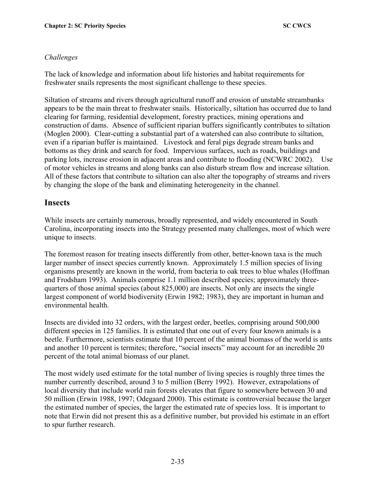### *Challenges*

The lack of knowledge and information about life histories and habitat requirements for freshwater snails represents the most significant challenge to these species.

Siltation of streams and rivers through agricultural runoff and erosion of unstable streambanks appears to be the main threat to freshwater snails. Historically, siltation has occurred due to land clearing for farming, residential development, forestry practices, mining operations and construction of dams. Absence of sufficient riparian buffers significantly contributes to siltation (Moglen 2000). Clear-cutting a substantial part of a watershed can also contribute to siltation, even if a riparian buffer is maintained. Livestock and feral pigs degrade stream banks and bottoms as they drink and search for food. Impervious surfaces, such as roads, buildings and parking lots, increase erosion in adjacent areas and contribute to flooding (NCWRC 2002). Use of motor vehicles in streams and along banks can also disturb stream flow and increase siltation. All of these factors that contribute to siltation can also alter the topography of streams and rivers by changing the slope of the bank and eliminating heterogeneity in the channel.

## **Insects**

While insects are certainly numerous, broadly represented, and widely encountered in South Carolina, incorporating insects into the Strategy presented many challenges, most of which were unique to insects.

The foremost reason for treating insects differently from other, better-known taxa is the much larger number of insect species currently known. Approximately 1.5 million species of living organisms presently are known in the world, from bacteria to oak trees to blue whales (Hoffman and Frodsham 1993). Animals comprise 1.1 million described species; approximately threequarters of those animal species (about 825,000) are insects. Not only are insects the single largest component of world biodiversity (Erwin 1982; 1983), they are important in human and environmental health.

Insects are divided into 32 orders, with the largest order, beetles, comprising around 500,000 different species in 125 families. It is estimated that one out of every four known animals is a beetle. Furthermore, scientists estimate that 10 percent of the animal biomass of the world is ants and another 10 percent is termites; therefore, "social insects" may account for an incredible 20 percent of the total animal biomass of our planet.

The most widely used estimate for the total number of living species is roughly three times the number currently described, around 3 to 5 million (Berry 1992). However, extrapolations of local diversity that include world rain forests elevates that figure to somewhere between 30 and 50 million (Erwin 1988, 1997; Odegaard 2000). This estimate is controversial because the larger the estimated number of species, the larger the estimated rate of species loss. It is important to note that Erwin did not present this as a definitive number, but provided his estimate in an effort to spur further research.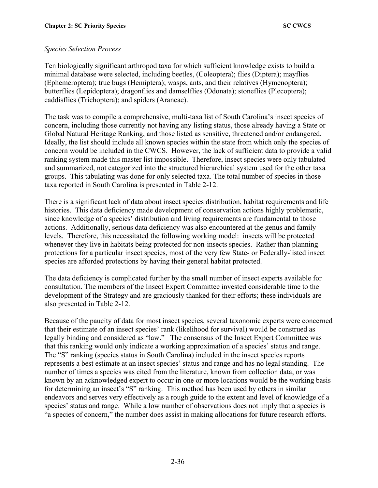#### *Species Selection Process*

Ten biologically significant arthropod taxa for which sufficient knowledge exists to build a minimal database were selected, including beetles, (Coleoptera); flies (Diptera); mayflies (Ephemeroptera); true bugs (Hemiptera); wasps, ants, and their relatives (Hymenoptera); butterflies (Lepidoptera); dragonflies and damselflies (Odonata); stoneflies (Plecoptera); caddisflies (Trichoptera); and spiders (Araneae).

The task was to compile a comprehensive, multi-taxa list of South Carolina's insect species of concern, including those currently not having any listing status, those already having a State or Global Natural Heritage Ranking, and those listed as sensitive, threatened and/or endangered. Ideally, the list should include all known species within the state from which only the species of concern would be included in the CWCS. However, the lack of sufficient data to provide a valid ranking system made this master list impossible. Therefore, insect species were only tabulated and summarized, not categorized into the structured hierarchical system used for the other taxa groups. This tabulating was done for only selected taxa. The total number of species in those taxa reported in South Carolina is presented in Table 2-12.

There is a significant lack of data about insect species distribution, habitat requirements and life histories. This data deficiency made development of conservation actions highly problematic, since knowledge of a species' distribution and living requirements are fundamental to those actions. Additionally, serious data deficiency was also encountered at the genus and family levels. Therefore, this necessitated the following working model: insects will be protected whenever they live in habitats being protected for non-insects species. Rather than planning protections for a particular insect species, most of the very few State- or Federally-listed insect species are afforded protections by having their general habitat protected.

The data deficiency is complicated further by the small number of insect experts available for consultation. The members of the Insect Expert Committee invested considerable time to the development of the Strategy and are graciously thanked for their efforts; these individuals are also presented in Table 2-12.

Because of the paucity of data for most insect species, several taxonomic experts were concerned that their estimate of an insect species' rank (likelihood for survival) would be construed as legally binding and considered as "law." The consensus of the Insect Expert Committee was that this ranking would only indicate a working approximation of a species' status and range. The "S" ranking (species status in South Carolina) included in the insect species reports represents a best estimate at an insect species' status and range and has no legal standing. The number of times a species was cited from the literature, known from collection data, or was known by an acknowledged expert to occur in one or more locations would be the working basis for determining an insect's "S" ranking. This method has been used by others in similar endeavors and serves very effectively as a rough guide to the extent and level of knowledge of a species' status and range. While a low number of observations does not imply that a species is "a species of concern," the number does assist in making allocations for future research efforts.